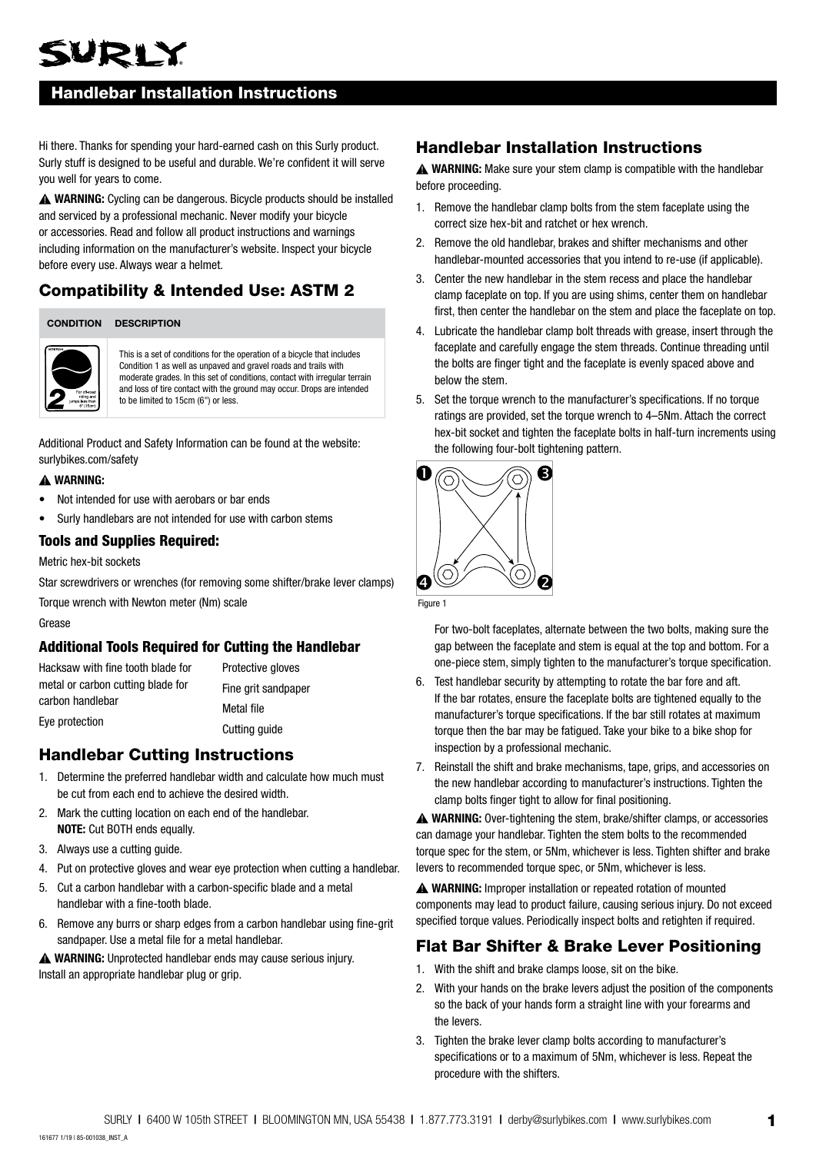# WRIY

## Handlebar Installation Instructions

Hi there. Thanks for spending your hard-earned cash on this Surly product. Surly stuff is designed to be useful and durable. We're confident it will serve you well for years to come.

**WARNING:** Cycling can be dangerous. Bicycle products should be installed and serviced by a professional mechanic. Never modify your bicycle or accessories. Read and follow all product instructions and warnings including information on the manufacturer's website. Inspect your bicycle before every use. Always wear a helmet.

## Compatibility & Intended Use: ASTM 2

#### **CONDITION DESCRIPTION**



This is a set of conditions for the operation of a bicycle that includes Condition 1 as well as unpaved and gravel roads and trails with moderate grades. In this set of conditions, contact with irregular terrain and loss of tire contact with the ground may occur. Drops are intended to be limited to 15cm (6") or less.

Additional Product and Safety Information can be found at the website: surlybikes.com/safety

#### **WARNING:**

- Not intended for use with aerobars or bar ends
- Surly handlebars are not intended for use with carbon stems

#### Tools and Supplies Required:

#### Metric hex-bit sockets

Star screwdrivers or wrenches (for removing some shifter/brake lever clamps)

Torque wrench with Newton meter (Nm) scale

Grease

#### Additional Tools Required for Cutting the Handlebar

Hacksaw with fine tooth blade for metal or carbon cutting blade for carbon handlebar Eye protection

Protective gloves Fine grit sandpaper

Metal file Cutting guide

### Handlebar Cutting Instructions

- 1. Determine the preferred handlebar width and calculate how much must be cut from each end to achieve the desired width.
- 2. Mark the cutting location on each end of the handlebar. **NOTE:** Cut BOTH ends equally.
- 3. Always use a cutting guide.
- 4. Put on protective gloves and wear eye protection when cutting a handlebar.
- 5. Cut a carbon handlebar with a carbon-specific blade and a metal handlebar with a fine-tooth blade.
- 6. Remove any burrs or sharp edges from a carbon handlebar using fine-grit sandpaper. Use a metal file for a metal handlebar.

**WARNING:** Unprotected handlebar ends may cause serious injury. Install an appropriate handlebar plug or grip.

## Handlebar Installation Instructions

**A WARNING:** Make sure your stem clamp is compatible with the handlebar before proceeding.

- 1. Remove the handlebar clamp bolts from the stem faceplate using the correct size hex-bit and ratchet or hex wrench.
- 2. Remove the old handlebar, brakes and shifter mechanisms and other handlebar-mounted accessories that you intend to re-use (if applicable).
- 3. Center the new handlebar in the stem recess and place the handlebar clamp faceplate on top. If you are using shims, center them on handlebar first, then center the handlebar on the stem and place the faceplate on top.
- 4. Lubricate the handlebar clamp bolt threads with grease, insert through the faceplate and carefully engage the stem threads. Continue threading until the bolts are finger tight and the faceplate is evenly spaced above and below the stem.
- 5. Set the torque wrench to the manufacturer's specifications. If no torque ratings are provided, set the torque wrench to 4–5Nm. Attach the correct hex-bit socket and tighten the faceplate bolts in half-turn increments using the following four-bolt tightening pattern.



Figure 1

For two-bolt faceplates, alternate between the two bolts, making sure the gap between the faceplate and stem is equal at the top and bottom. For a one-piece stem, simply tighten to the manufacturer's torque specification.

- 6. Test handlebar security by attempting to rotate the bar fore and aft. If the bar rotates, ensure the faceplate bolts are tightened equally to the manufacturer's torque specifications. If the bar still rotates at maximum torque then the bar may be fatigued. Take your bike to a bike shop for inspection by a professional mechanic.
- 7. Reinstall the shift and brake mechanisms, tape, grips, and accessories on the new handlebar according to manufacturer's instructions. Tighten the clamp bolts finger tight to allow for final positioning.

**WARNING:** Over-tightening the stem, brake/shifter clamps, or accessories can damage your handlebar. Tighten the stem bolts to the recommended torque spec for the stem, or 5Nm, whichever is less. Tighten shifter and brake levers to recommended torque spec, or 5Nm, whichever is less.

**WARNING:** Improper installation or repeated rotation of mounted components may lead to product failure, causing serious injury. Do not exceed specified torque values. Periodically inspect bolts and retighten if required.

## Flat Bar Shifter & Brake Lever Positioning

- 1. With the shift and brake clamps loose, sit on the bike.
- 2. With your hands on the brake levers adjust the position of the components so the back of your hands form a straight line with your forearms and the levers.
- 3. Tighten the brake lever clamp bolts according to manufacturer's specifications or to a maximum of 5Nm, whichever is less. Repeat the procedure with the shifters.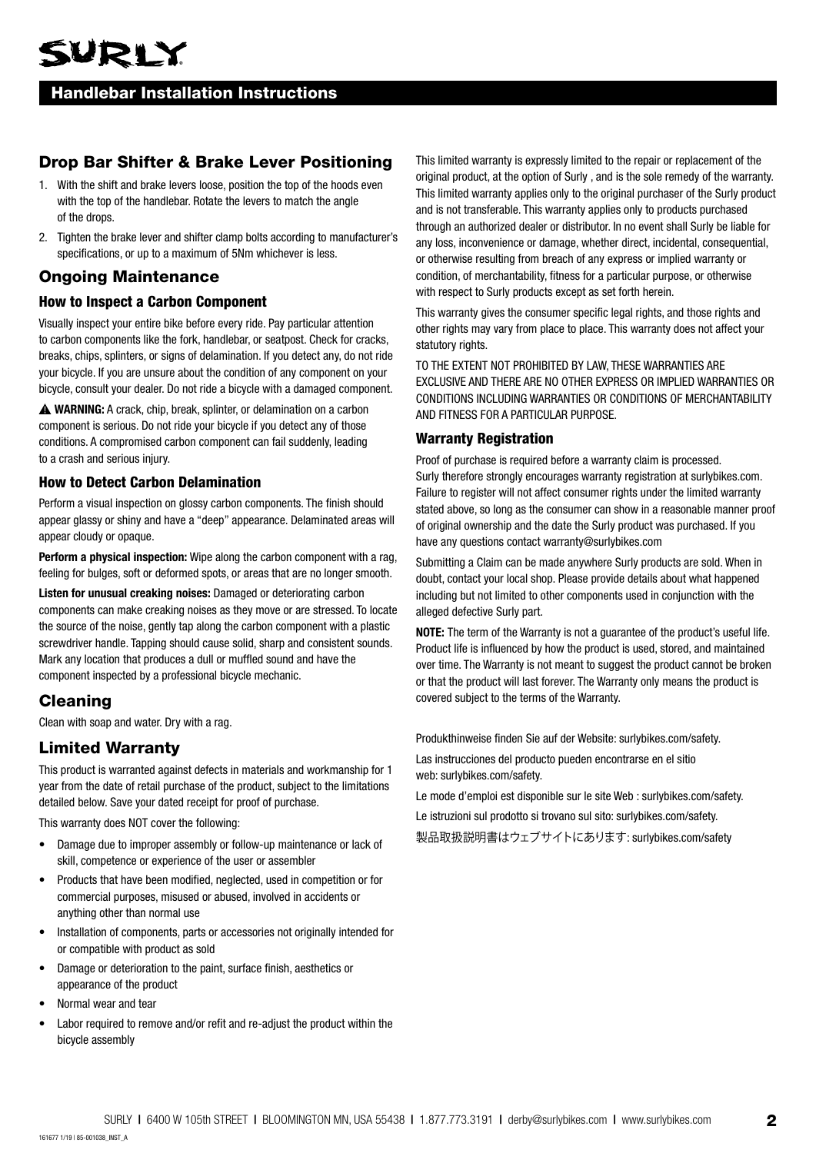### Handlebar Installation Instructions

## Drop Bar Shifter & Brake Lever Positioning

- 1. With the shift and brake levers loose, position the top of the hoods even with the top of the handlebar. Rotate the levers to match the angle of the drops.
- 2. Tighten the brake lever and shifter clamp bolts according to manufacturer's specifications, or up to a maximum of 5Nm whichever is less.

## Ongoing Maintenance

#### How to Inspect a Carbon Component

Visually inspect your entire bike before every ride. Pay particular attention to carbon components like the fork, handlebar, or seatpost. Check for cracks, breaks, chips, splinters, or signs of delamination. If you detect any, do not ride your bicycle. If you are unsure about the condition of any component on your bicycle, consult your dealer. Do not ride a bicycle with a damaged component.

**WARNING:** A crack, chip, break, splinter, or delamination on a carbon component is serious. Do not ride your bicycle if you detect any of those conditions. A compromised carbon component can fail suddenly, leading to a crash and serious injury.

#### How to Detect Carbon Delamination

Perform a visual inspection on glossy carbon components. The finish should appear glassy or shiny and have a "deep" appearance. Delaminated areas will appear cloudy or opaque.

**Perform a physical inspection:** Wipe along the carbon component with a rag, feeling for bulges, soft or deformed spots, or areas that are no longer smooth.

**Listen for unusual creaking noises:** Damaged or deteriorating carbon components can make creaking noises as they move or are stressed. To locate the source of the noise, gently tap along the carbon component with a plastic screwdriver handle. Tapping should cause solid, sharp and consistent sounds. Mark any location that produces a dull or muffled sound and have the component inspected by a professional bicycle mechanic.

## Cleaning

Clean with soap and water. Dry with a rag.

### Limited Warranty

This product is warranted against defects in materials and workmanship for 1 year from the date of retail purchase of the product, subject to the limitations detailed below. Save your dated receipt for proof of purchase.

This warranty does NOT cover the following:

- Damage due to improper assembly or follow-up maintenance or lack of skill, competence or experience of the user or assembler
- Products that have been modified, neglected, used in competition or for commercial purposes, misused or abused, involved in accidents or anything other than normal use
- Installation of components, parts or accessories not originally intended for or compatible with product as sold
- Damage or deterioration to the paint, surface finish, aesthetics or appearance of the product
- Normal wear and tear
- Labor required to remove and/or refit and re-adjust the product within the bicycle assembly

This limited warranty is expressly limited to the repair or replacement of the original product, at the option of Surly , and is the sole remedy of the warranty. This limited warranty applies only to the original purchaser of the Surly product and is not transferable. This warranty applies only to products purchased through an authorized dealer or distributor. In no event shall Surly be liable for any loss, inconvenience or damage, whether direct, incidental, consequential, or otherwise resulting from breach of any express or implied warranty or condition, of merchantability, fitness for a particular purpose, or otherwise with respect to Surly products except as set forth herein.

This warranty gives the consumer specific legal rights, and those rights and other rights may vary from place to place. This warranty does not affect your statutory rights.

TO THE EXTENT NOT PROHIBITED BY LAW, THESE WARRANTIES ARE EXCLUSIVE AND THERE ARE NO OTHER EXPRESS OR IMPLIED WARRANTIES OR CONDITIONS INCLUDING WARRANTIES OR CONDITIONS OF MERCHANTABILITY AND FITNESS FOR A PARTICULAR PURPOSE.

#### Warranty Registration

Proof of purchase is required before a warranty claim is processed. Surly therefore strongly encourages warranty registration at surlybikes.com. Failure to register will not affect consumer rights under the limited warranty stated above, so long as the consumer can show in a reasonable manner proof of original ownership and the date the Surly product was purchased. If you have any questions contact warranty@surlybikes.com

Submitting a Claim can be made anywhere Surly products are sold. When in doubt, contact your local shop. Please provide details about what happened including but not limited to other components used in conjunction with the alleged defective Surly part.

**NOTE:** The term of the Warranty is not a guarantee of the product's useful life. Product life is influenced by how the product is used, stored, and maintained over time. The Warranty is not meant to suggest the product cannot be broken or that the product will last forever. The Warranty only means the product is covered subject to the terms of the Warranty.

Produkthinweise finden Sie auf der Website: surlybikes.com/safety.

Las instrucciones del producto pueden encontrarse en el sitio web: surlybikes.com/safety.

Le mode d'emploi est disponible sur le site Web : surlybikes.com/safety.

Le istruzioni sul prodotto si trovano sul sito: surlybikes.com/safety.

製品取扱説明書はウェブサイトにあります: surlybikes.com/safety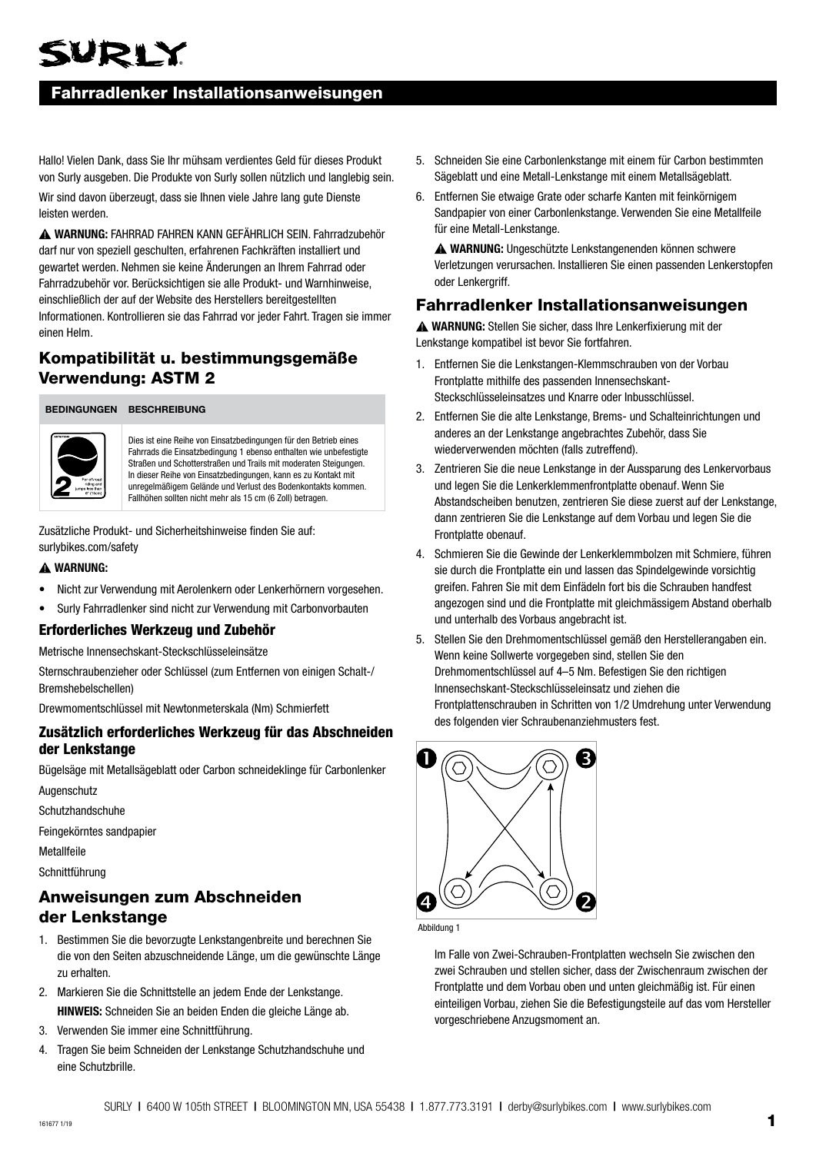## VRLY

## Fahrradlenker Installationsanweisungen

Hallo! Vielen Dank, dass Sie Ihr mühsam verdientes Geld für dieses Produkt von Surly ausgeben. Die Produkte von Surly sollen nützlich und langlebig sein.

Wir sind davon überzeugt, dass sie Ihnen viele Jahre lang gute Dienste leisten werden.

**WARNUNG:** FAHRRAD FAHREN KANN GEFÄHRLICH SEIN. Fahrradzubehör darf nur von speziell geschulten, erfahrenen Fachkräften installiert und gewartet werden. Nehmen sie keine Änderungen an Ihrem Fahrrad oder Fahrradzubehör vor. Berücksichtigen sie alle Produkt- und Warnhinweise, einschließlich der auf der Website des Herstellers bereitgestellten Informationen. Kontrollieren sie das Fahrrad vor jeder Fahrt. Tragen sie immer einen Helm.

## Kompatibilität u. bestimmungsgemäße Verwendung: ASTM 2

**BEDINGUNGEN BESCHREIBUNG**



Dies ist eine Reihe von Einsatzbedingungen für den Betrieb eines Fahrrads die Einsatzbedingung 1 ebenso enthalten wie unbefestigte Straßen und Schotterstraßen und Trails mit moderaten Steigungen. In dieser Reihe von Einsatzbedingungen, kann es zu Kontakt mit unregelmäßigem Gelände und Verlust des Bodenkontakts kommen. Fallhöhen sollten nicht mehr als 15 cm (6 Zoll) betragen.

Zusätzliche Produkt- und Sicherheitshinweise finden Sie auf: surlybikes.com/safety

#### **WARNUNG:**

- Nicht zur Verwendung mit Aerolenkern oder Lenkerhörnern vorgesehen.
- Surly Fahrradlenker sind nicht zur Verwendung mit Carbonvorbauten

#### Erforderliches Werkzeug und Zubehör

Metrische Innensechskant-Steckschlüsseleinsätze

Sternschraubenzieher oder Schlüssel (zum Entfernen von einigen Schalt-/ Bremshebelschellen)

Drewmomentschlüssel mit Newtonmeterskala (Nm) Schmierfett

#### Zusätzlich erforderliches Werkzeug für das Abschneiden der Lenkstange

Bügelsäge mit Metallsägeblatt oder Carbon schneideklinge für Carbonlenker

Augenschutz

Schutzhandschuhe

Feingekörntes sandpapier

**Metallfeile** 

Schnittführung

## Anweisungen zum Abschneiden der Lenkstange

- 1. Bestimmen Sie die bevorzugte Lenkstangenbreite und berechnen Sie die von den Seiten abzuschneidende Länge, um die gewünschte Länge zu erhalten.
- 2. Markieren Sie die Schnittstelle an jedem Ende der Lenkstange. **HINWEIS:** Schneiden Sie an beiden Enden die gleiche Länge ab.
- 3. Verwenden Sie immer eine Schnittführung.
- 4. Tragen Sie beim Schneiden der Lenkstange Schutzhandschuhe und eine Schutzbrille.
- 5. Schneiden Sie eine Carbonlenkstange mit einem für Carbon bestimmten Sägeblatt und eine Metall-Lenkstange mit einem Metallsägeblatt.
- 6. Entfernen Sie etwaige Grate oder scharfe Kanten mit feinkörnigem Sandpapier von einer Carbonlenkstange. Verwenden Sie eine Metallfeile für eine Metall-Lenkstange.

**WARNUNG:** Ungeschützte Lenkstangenenden können schwere Verletzungen verursachen. Installieren Sie einen passenden Lenkerstopfen oder Lenkergriff.

## Fahrradlenker Installationsanweisungen

**WARNUNG:** Stellen Sie sicher, dass Ihre Lenkerfixierung mit der Lenkstange kompatibel ist bevor Sie fortfahren.

- 1. Entfernen Sie die Lenkstangen-Klemmschrauben von der Vorbau Frontplatte mithilfe des passenden Innensechskant-Steckschlüsseleinsatzes und Knarre oder Inbusschlüssel.
- 2. Entfernen Sie die alte Lenkstange, Brems- und Schalteinrichtungen und anderes an der Lenkstange angebrachtes Zubehör, dass Sie wiederverwenden möchten (falls zutreffend).
- 3. Zentrieren Sie die neue Lenkstange in der Aussparung des Lenkervorbaus und legen Sie die Lenkerklemmenfrontplatte obenauf. Wenn Sie Abstandscheiben benutzen, zentrieren Sie diese zuerst auf der Lenkstange, dann zentrieren Sie die Lenkstange auf dem Vorbau und legen Sie die Frontplatte obenauf.
- 4. Schmieren Sie die Gewinde der Lenkerklemmbolzen mit Schmiere, führen sie durch die Frontplatte ein und lassen das Spindelgewinde vorsichtig greifen. Fahren Sie mit dem Einfädeln fort bis die Schrauben handfest angezogen sind und die Frontplatte mit gleichmässigem Abstand oberhalb und unterhalb des Vorbaus angebracht ist.
- 5. Stellen Sie den Drehmomentschlüssel gemäß den Herstellerangaben ein. Wenn keine Sollwerte vorgegeben sind, stellen Sie den Drehmomentschlüssel auf 4–5 Nm. Befestigen Sie den richtigen Innensechskant-Steckschlüsseleinsatz und ziehen die Frontplattenschrauben in Schritten von 1/2 Umdrehung unter Verwendung des folgenden vier Schraubenanziehmusters fest.



Abbildung 1

Im Falle von Zwei-Schrauben-Frontplatten wechseln Sie zwischen den zwei Schrauben und stellen sicher, dass der Zwischenraum zwischen der Frontplatte und dem Vorbau oben und unten gleichmäßig ist. Für einen einteiligen Vorbau, ziehen Sie die Befestigungsteile auf das vom Hersteller vorgeschriebene Anzugsmoment an.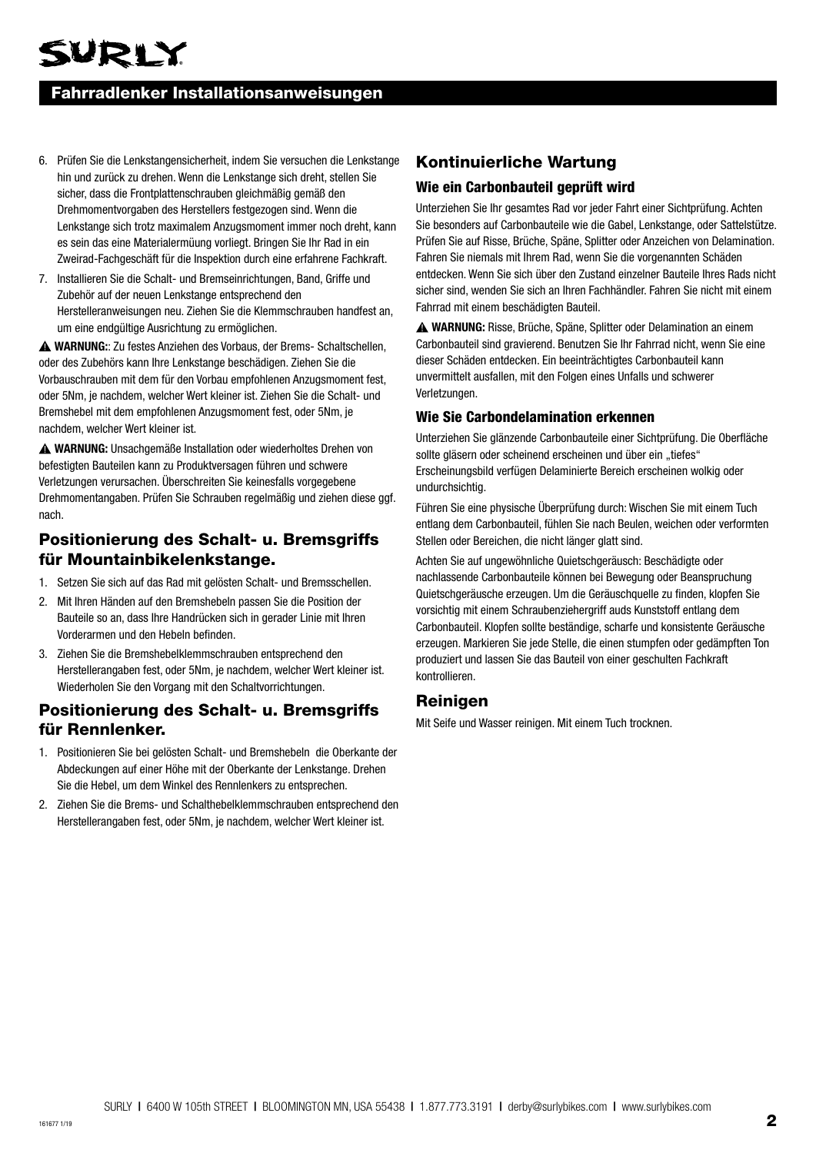## Fahrradlenker Installationsanweisungen

- 6. Prüfen Sie die Lenkstangensicherheit, indem Sie versuchen die Lenkstange hin und zurück zu drehen. Wenn die Lenkstange sich dreht, stellen Sie sicher, dass die Frontplattenschrauben gleichmäßig gemäß den Drehmomentvorgaben des Herstellers festgezogen sind. Wenn die Lenkstange sich trotz maximalem Anzugsmoment immer noch dreht, kann es sein das eine Materialermüung vorliegt. Bringen Sie Ihr Rad in ein Zweirad-Fachgeschäft für die Inspektion durch eine erfahrene Fachkraft.
- 7. Installieren Sie die Schalt- und Bremseinrichtungen, Band, Griffe und Zubehör auf der neuen Lenkstange entsprechend den Herstelleranweisungen neu. Ziehen Sie die Klemmschrauben handfest an, um eine endgültige Ausrichtung zu ermöglichen.

**WARNUNG:**: Zu festes Anziehen des Vorbaus, der Brems- Schaltschellen, oder des Zubehörs kann Ihre Lenkstange beschädigen. Ziehen Sie die Vorbauschrauben mit dem für den Vorbau empfohlenen Anzugsmoment fest, oder 5Nm, je nachdem, welcher Wert kleiner ist. Ziehen Sie die Schalt- und Bremshebel mit dem empfohlenen Anzugsmoment fest, oder 5Nm, je nachdem, welcher Wert kleiner ist.

**WARNUNG:** Unsachgemäße Installation oder wiederholtes Drehen von befestigten Bauteilen kann zu Produktversagen führen und schwere Verletzungen verursachen. Überschreiten Sie keinesfalls vorgegebene Drehmomentangaben. Prüfen Sie Schrauben regelmäßig und ziehen diese ggf. nach.

## Positionierung des Schalt- u. Bremsgriffs für Mountainbikelenkstange.

- 1. Setzen Sie sich auf das Rad mit gelösten Schalt- und Bremsschellen.
- 2. Mit Ihren Händen auf den Bremshebeln passen Sie die Position der Bauteile so an, dass Ihre Handrücken sich in gerader Linie mit Ihren Vorderarmen und den Hebeln befinden.
- 3. Ziehen Sie die Bremshebelklemmschrauben entsprechend den Herstellerangaben fest, oder 5Nm, je nachdem, welcher Wert kleiner ist. Wiederholen Sie den Vorgang mit den Schaltvorrichtungen.

## Positionierung des Schalt- u. Bremsgriffs für Rennlenker.

- 1. Positionieren Sie bei gelösten Schalt- und Bremshebeln die Oberkante der Abdeckungen auf einer Höhe mit der Oberkante der Lenkstange. Drehen Sie die Hebel, um dem Winkel des Rennlenkers zu entsprechen.
- 2. Ziehen Sie die Brems- und Schalthebelklemmschrauben entsprechend den Herstellerangaben fest, oder 5Nm, je nachdem, welcher Wert kleiner ist.

## Kontinuierliche Wartung

#### Wie ein Carbonbauteil geprüft wird

Unterziehen Sie Ihr gesamtes Rad vor jeder Fahrt einer Sichtprüfung. Achten Sie besonders auf Carbonbauteile wie die Gabel, Lenkstange, oder Sattelstütze. Prüfen Sie auf Risse, Brüche, Späne, Splitter oder Anzeichen von Delamination. Fahren Sie niemals mit Ihrem Rad, wenn Sie die vorgenannten Schäden entdecken. Wenn Sie sich über den Zustand einzelner Bauteile Ihres Rads nicht sicher sind, wenden Sie sich an Ihren Fachhändler. Fahren Sie nicht mit einem Fahrrad mit einem beschädigten Bauteil.

**WARNUNG:** Risse, Brüche, Späne, Splitter oder Delamination an einem Carbonbauteil sind gravierend. Benutzen Sie Ihr Fahrrad nicht, wenn Sie eine dieser Schäden entdecken. Ein beeinträchtigtes Carbonbauteil kann unvermittelt ausfallen, mit den Folgen eines Unfalls und schwerer Verletzungen.

#### Wie Sie Carbondelamination erkennen

Unterziehen Sie glänzende Carbonbauteile einer Sichtprüfung. Die Oberfläche sollte gläsern oder scheinend erscheinen und über ein "tiefes" Erscheinungsbild verfügen Delaminierte Bereich erscheinen wolkig oder undurchsichtig.

Führen Sie eine physische Überprüfung durch: Wischen Sie mit einem Tuch entlang dem Carbonbauteil, fühlen Sie nach Beulen, weichen oder verformten Stellen oder Bereichen, die nicht länger glatt sind.

Achten Sie auf ungewöhnliche Quietschgeräusch: Beschädigte oder nachlassende Carbonbauteile können bei Bewegung oder Beanspruchung Quietschgeräusche erzeugen. Um die Geräuschquelle zu finden, klopfen Sie vorsichtig mit einem Schraubenziehergriff auds Kunststoff entlang dem Carbonbauteil. Klopfen sollte beständige, scharfe und konsistente Geräusche erzeugen. Markieren Sie jede Stelle, die einen stumpfen oder gedämpften Ton produziert und lassen Sie das Bauteil von einer geschulten Fachkraft kontrollieren.

#### Reinigen

Mit Seife und Wasser reinigen. Mit einem Tuch trocknen.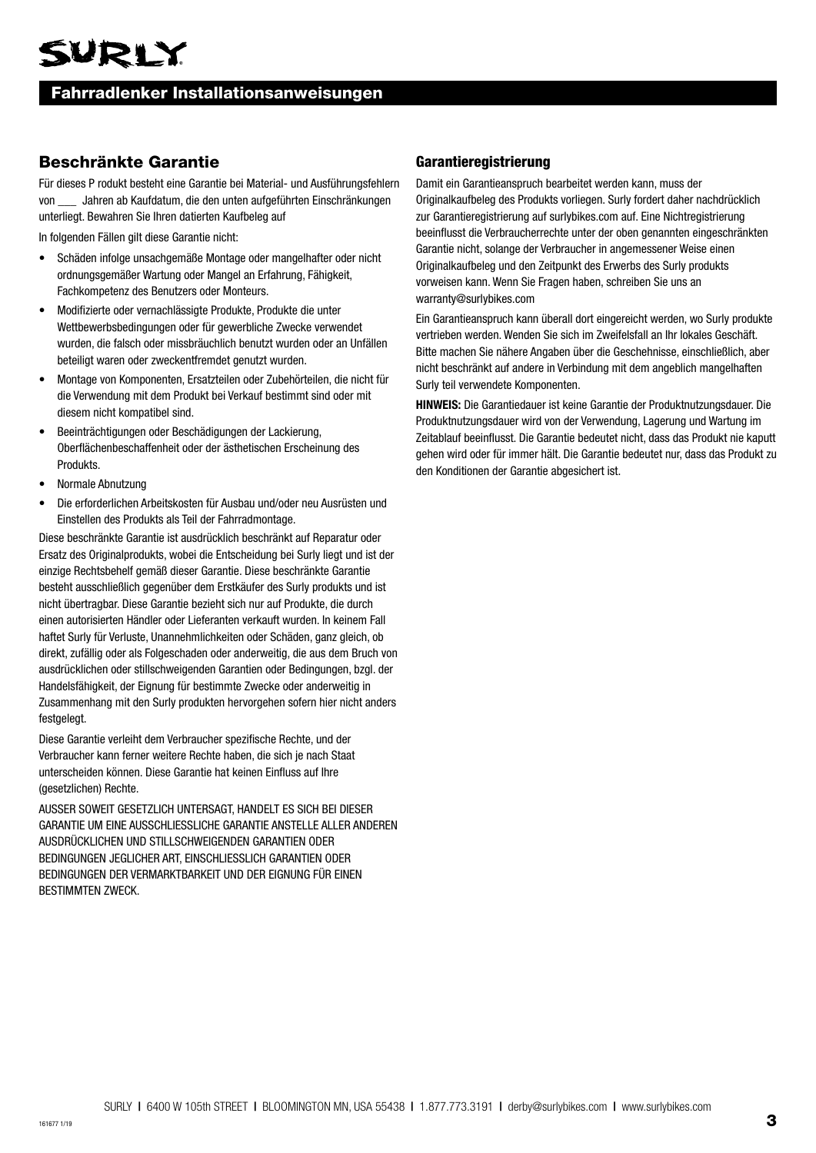## Fahrradlenker Installationsanweisungen

## Beschränkte Garantie

Für dieses P rodukt besteht eine Garantie bei Material- und Ausführungsfehlern von \_\_\_ Jahren ab Kaufdatum, die den unten aufgeführten Einschränkungen unterliegt. Bewahren Sie Ihren datierten Kaufbeleg auf

In folgenden Fällen gilt diese Garantie nicht:

- Schäden infolge unsachgemäße Montage oder mangelhafter oder nicht ordnungsgemäßer Wartung oder Mangel an Erfahrung, Fähigkeit, Fachkompetenz des Benutzers oder Monteurs.
- Modifizierte oder vernachlässigte Produkte, Produkte die unter Wettbewerbsbedingungen oder für gewerbliche Zwecke verwendet wurden, die falsch oder missbräuchlich benutzt wurden oder an Unfällen beteiligt waren oder zweckentfremdet genutzt wurden.
- Montage von Komponenten, Ersatzteilen oder Zubehörteilen, die nicht für die Verwendung mit dem Produkt bei Verkauf bestimmt sind oder mit diesem nicht kompatibel sind.
- Beeinträchtigungen oder Beschädigungen der Lackierung, Oberflächenbeschaffenheit oder der ästhetischen Erscheinung des Produkts.
- Normale Abnutzung
- Die erforderlichen Arbeitskosten für Ausbau und/oder neu Ausrüsten und Einstellen des Produkts als Teil der Fahrradmontage.

Diese beschränkte Garantie ist ausdrücklich beschränkt auf Reparatur oder Ersatz des Originalprodukts, wobei die Entscheidung bei Surly liegt und ist der einzige Rechtsbehelf gemäß dieser Garantie. Diese beschränkte Garantie besteht ausschließlich gegenüber dem Erstkäufer des Surly produkts und ist nicht übertragbar. Diese Garantie bezieht sich nur auf Produkte, die durch einen autorisierten Händler oder Lieferanten verkauft wurden. In keinem Fall haftet Surly für Verluste, Unannehmlichkeiten oder Schäden, ganz gleich, ob direkt, zufällig oder als Folgeschaden oder anderweitig, die aus dem Bruch von ausdrücklichen oder stillschweigenden Garantien oder Bedingungen, bzgl. der Handelsfähigkeit, der Eignung für bestimmte Zwecke oder anderweitig in Zusammenhang mit den Surly produkten hervorgehen sofern hier nicht anders festgelegt.

Diese Garantie verleiht dem Verbraucher spezifische Rechte, und der Verbraucher kann ferner weitere Rechte haben, die sich je nach Staat unterscheiden können. Diese Garantie hat keinen Einfluss auf Ihre (gesetzlichen) Rechte.

AUSSER SOWEIT GESETZLICH UNTERSAGT, HANDELT ES SICH BEI DIESER GARANTIE UM EINE AUSSCHLIESSLICHE GARANTIE ANSTELLE ALLER ANDEREN AUSDRÜCKLICHEN UND STILLSCHWEIGENDEN GARANTIEN ODER BEDINGUNGEN JEGLICHER ART, EINSCHLIESSLICH GARANTIEN ODER BEDINGUNGEN DER VERMARKTBARKEIT UND DER EIGNUNG FÜR EINEN BESTIMMTEN ZWECK.

#### Garantieregistrierung

Damit ein Garantieanspruch bearbeitet werden kann, muss der Originalkaufbeleg des Produkts vorliegen. Surly fordert daher nachdrücklich zur Garantieregistrierung auf surlybikes.com auf. Eine Nichtregistrierung beeinflusst die Verbraucherrechte unter der oben genannten eingeschränkten Garantie nicht, solange der Verbraucher in angemessener Weise einen Originalkaufbeleg und den Zeitpunkt des Erwerbs des Surly produkts vorweisen kann. Wenn Sie Fragen haben, schreiben Sie uns an warranty@surlybikes.com

Ein Garantieanspruch kann überall dort eingereicht werden, wo Surly produkte vertrieben werden. Wenden Sie sich im Zweifelsfall an Ihr lokales Geschäft. Bitte machen Sie nähere Angaben über die Geschehnisse, einschließlich, aber nicht beschränkt auf andere in Verbindung mit dem angeblich mangelhaften Surly teil verwendete Komponenten.

**HINWEIS:** Die Garantiedauer ist keine Garantie der Produktnutzungsdauer. Die Produktnutzungsdauer wird von der Verwendung, Lagerung und Wartung im Zeitablauf beeinflusst. Die Garantie bedeutet nicht, dass das Produkt nie kaputt gehen wird oder für immer hält. Die Garantie bedeutet nur, dass das Produkt zu den Konditionen der Garantie abgesichert ist.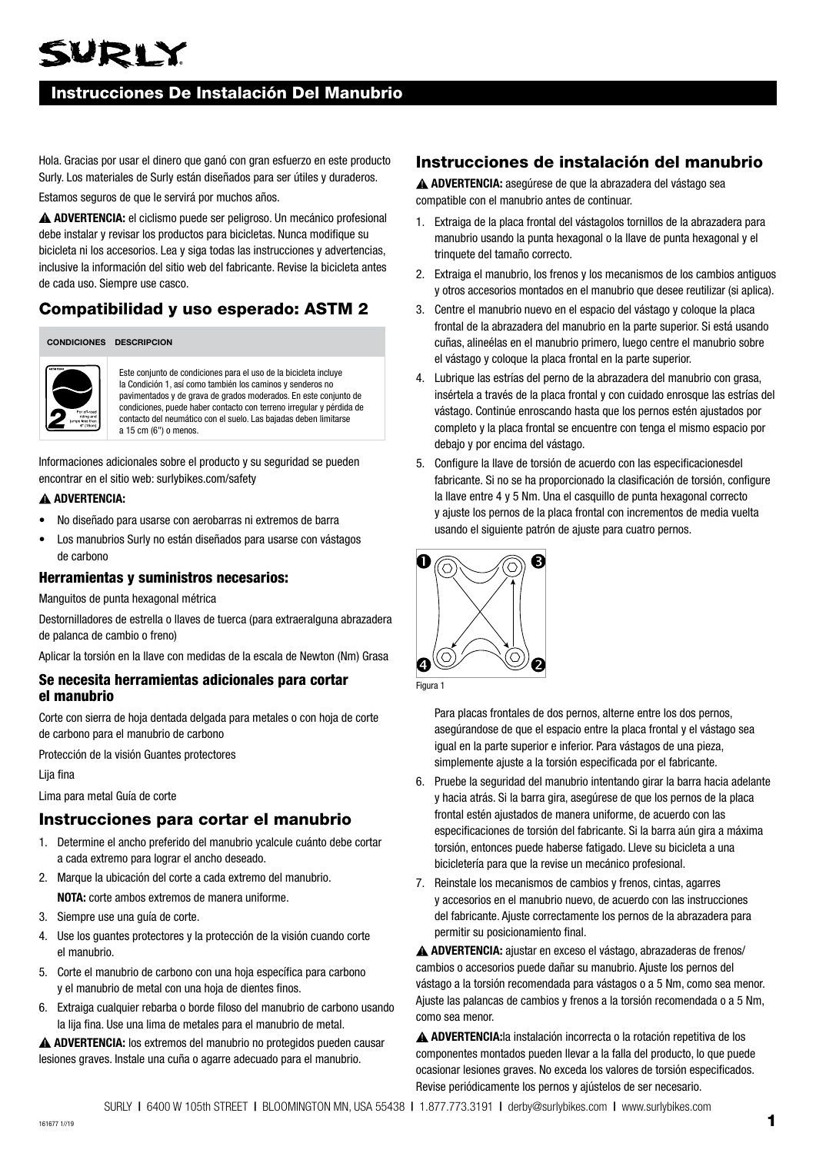## WRLY

## Instrucciones De Instalación Del Manubrio

Hola. Gracias por usar el dinero que ganó con gran esfuerzo en este producto Surly. Los materiales de Surly están diseñados para ser útiles y duraderos.

Estamos seguros de que le servirá por muchos años.

**ADVERTENCIA:** el ciclismo puede ser peligroso. Un mecánico profesional debe instalar y revisar los productos para bicicletas. Nunca modifique su bicicleta ni los accesorios. Lea y siga todas las instrucciones y advertencias, inclusive la información del sitio web del fabricante. Revise la bicicleta antes de cada uso. Siempre use casco.

## Compatibilidad y uso esperado: ASTM 2

#### **CONDICIONES DESCRIPCION**



Este conjunto de condiciones para el uso de la bicicleta incluye la Condición 1, así como también los caminos y senderos no pavimentados y de grava de grados moderados. En este conjunto de condiciones, puede haber contacto con terreno irregular y pérdida de contacto del neumático con el suelo. Las bajadas deben limitarse a 15 cm (6") o menos.

Informaciones adicionales sobre el producto y su seguridad se pueden encontrar en el sitio web: surlybikes.com/safety

#### **ADVERTENCIA:**

- No diseñado para usarse con aerobarras ni extremos de barra
- Los manubrios Surly no están diseñados para usarse con vástagos de carbono

#### Herramientas y suministros necesarios:

Manguitos de punta hexagonal métrica

Destornilladores de estrella o llaves de tuerca (para extraeralguna abrazadera de palanca de cambio o freno)

Aplicar la torsión en la llave con medidas de la escala de Newton (Nm) Grasa

#### Se necesita herramientas adicionales para cortar el manubrio

Corte con sierra de hoja dentada delgada para metales o con hoja de corte de carbono para el manubrio de carbono

Protección de la visión Guantes protectores

Lija fina

Lima para metal Guía de corte

### Instrucciones para cortar el manubrio

- 1. Determine el ancho preferido del manubrio ycalcule cuánto debe cortar a cada extremo para lograr el ancho deseado.
- 2. Marque la ubicación del corte a cada extremo del manubrio. **NOTA:** corte ambos extremos de manera uniforme.
- 3. Siempre use una guía de corte.
- 4. Use los guantes protectores y la protección de la visión cuando corte el manubrio.
- 5. Corte el manubrio de carbono con una hoja específica para carbono y el manubrio de metal con una hoja de dientes finos.
- 6. Extraiga cualquier rebarba o borde filoso del manubrio de carbono usando la lija fina. Use una lima de metales para el manubrio de metal.

**ADVERTENCIA:** los extremos del manubrio no protegidos pueden causar lesiones graves. Instale una cuña o agarre adecuado para el manubrio.

## Instrucciones de instalación del manubrio

**ADVERTENCIA:** asegúrese de que la abrazadera del vástago sea compatible con el manubrio antes de continuar.

- 1. Extraiga de la placa frontal del vástagolos tornillos de la abrazadera para manubrio usando la punta hexagonal o la llave de punta hexagonal y el trinquete del tamaño correcto.
- 2. Extraiga el manubrio, los frenos y los mecanismos de los cambios antiguos y otros accesorios montados en el manubrio que desee reutilizar (si aplica).
- 3. Centre el manubrio nuevo en el espacio del vástago y coloque la placa frontal de la abrazadera del manubrio en la parte superior. Si está usando cuñas, alineélas en el manubrio primero, luego centre el manubrio sobre el vástago y coloque la placa frontal en la parte superior.
- 4. Lubrique las estrías del perno de la abrazadera del manubrio con grasa, insértela a través de la placa frontal y con cuidado enrosque las estrías del vástago. Continúe enroscando hasta que los pernos estén ajustados por completo y la placa frontal se encuentre con tenga el mismo espacio por debajo y por encima del vástago.
- 5. Configure la llave de torsión de acuerdo con las especificacionesdel fabricante. Si no se ha proporcionado la clasificación de torsión, configure la llave entre 4 y 5 Nm. Una el casquillo de punta hexagonal correcto y ajuste los pernos de la placa frontal con incrementos de media vuelta usando el siguiente patrón de ajuste para cuatro pernos.





Para placas frontales de dos pernos, alterne entre los dos pernos, asegúrandose de que el espacio entre la placa frontal y el vástago sea igual en la parte superior e inferior. Para vástagos de una pieza, simplemente ajuste a la torsión especificada por el fabricante.

- 6. Pruebe la seguridad del manubrio intentando girar la barra hacia adelante y hacia atrás. Si la barra gira, asegúrese de que los pernos de la placa frontal estén ajustados de manera uniforme, de acuerdo con las especificaciones de torsión del fabricante. Si la barra aún gira a máxima torsión, entonces puede haberse fatigado. Lleve su bicicleta a una bicicletería para que la revise un mecánico profesional.
- 7. Reinstale los mecanismos de cambios y frenos, cintas, agarres y accesorios en el manubrio nuevo, de acuerdo con las instrucciones del fabricante. Ajuste correctamente los pernos de la abrazadera para permitir su posicionamiento final.

**ADVERTENCIA:** ajustar en exceso el vástago, abrazaderas de frenos/ cambios o accesorios puede dañar su manubrio. Ajuste los pernos del vástago a la torsión recomendada para vástagos o a 5 Nm, como sea menor. Ajuste las palancas de cambios y frenos a la torsión recomendada o a 5 Nm, como sea menor.

**ADVERTENCIA:**la instalación incorrecta o la rotación repetitiva de los componentes montados pueden llevar a la falla del producto, lo que puede ocasionar lesiones graves. No exceda los valores de torsión especificados. Revise periódicamente los pernos y ajústelos de ser necesario.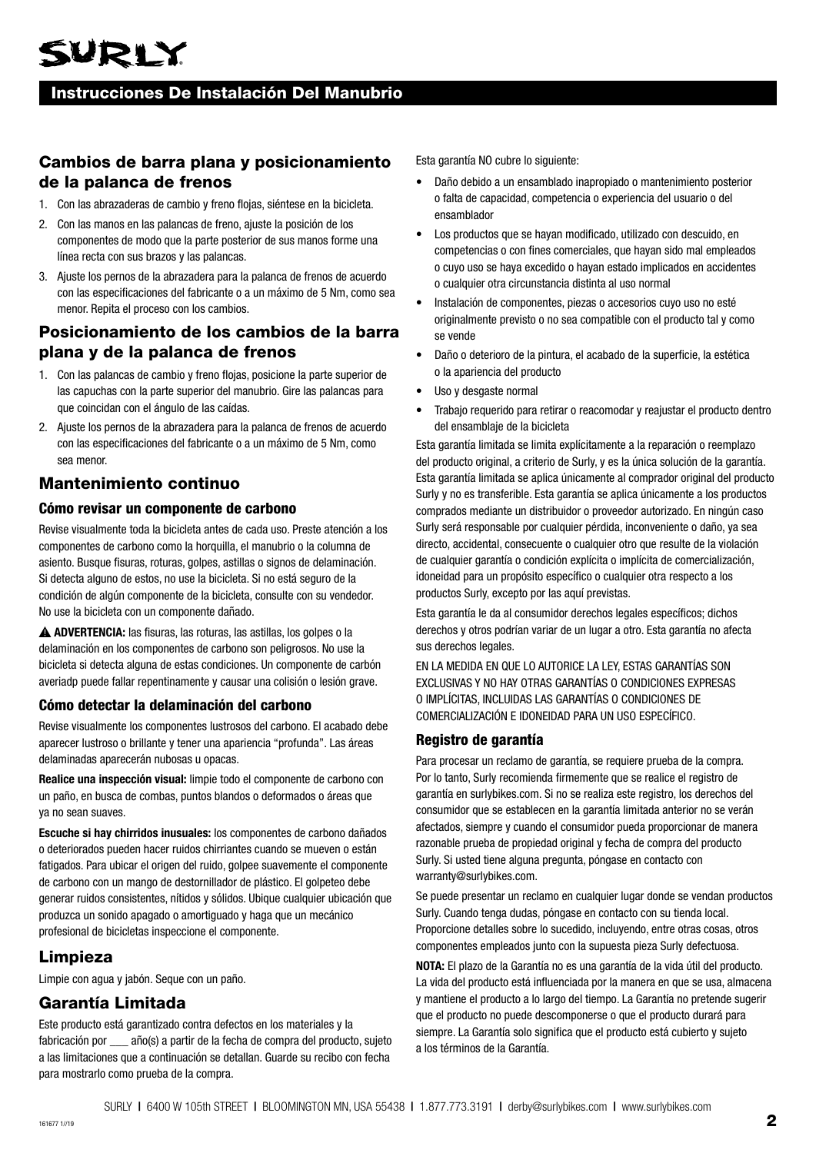## Instrucciones De Instalación Del Manubrio

## Cambios de barra plana y posicionamiento de la palanca de frenos

- 1. Con las abrazaderas de cambio y freno flojas, siéntese en la bicicleta.
- 2. Con las manos en las palancas de freno, ajuste la posición de los componentes de modo que la parte posterior de sus manos forme una línea recta con sus brazos y las palancas.
- 3. Ajuste los pernos de la abrazadera para la palanca de frenos de acuerdo con las especificaciones del fabricante o a un máximo de 5 Nm, como sea menor. Repita el proceso con los cambios.

## Posicionamiento de los cambios de la barra plana y de la palanca de frenos

- 1. Con las palancas de cambio y freno flojas, posicione la parte superior de las capuchas con la parte superior del manubrio. Gire las palancas para que coincidan con el ángulo de las caídas.
- 2. Ajuste los pernos de la abrazadera para la palanca de frenos de acuerdo con las especificaciones del fabricante o a un máximo de 5 Nm, como sea menor.

## Mantenimiento continuo

#### Cómo revisar un componente de carbono

Revise visualmente toda la bicicleta antes de cada uso. Preste atención a los componentes de carbono como la horquilla, el manubrio o la columna de asiento. Busque fisuras, roturas, golpes, astillas o signos de delaminación. Si detecta alguno de estos, no use la bicicleta. Si no está seguro de la condición de algún componente de la bicicleta, consulte con su vendedor. No use la bicicleta con un componente dañado.

**ADVERTENCIA:** las fisuras, las roturas, las astillas, los golpes o la delaminación en los componentes de carbono son peligrosos. No use la bicicleta si detecta alguna de estas condiciones. Un componente de carbón averiadp puede fallar repentinamente y causar una colisión o lesión grave.

#### Cómo detectar la delaminación del carbono

Revise visualmente los componentes lustrosos del carbono. El acabado debe aparecer lustroso o brillante y tener una apariencia "profunda". Las áreas delaminadas aparecerán nubosas u opacas.

**Realice una inspección visual:** limpie todo el componente de carbono con un paño, en busca de combas, puntos blandos o deformados o áreas que ya no sean suaves.

**Escuche si hay chirridos inusuales:** los componentes de carbono dañados o deteriorados pueden hacer ruidos chirriantes cuando se mueven o están fatigados. Para ubicar el origen del ruido, golpee suavemente el componente de carbono con un mango de destornillador de plástico. El golpeteo debe generar ruidos consistentes, nítidos y sólidos. Ubique cualquier ubicación que produzca un sonido apagado o amortiguado y haga que un mecánico profesional de bicicletas inspeccione el componente.

## Limpieza

Limpie con agua y jabón. Seque con un paño.

## Garantía Limitada

Este producto está garantizado contra defectos en los materiales y la fabricación por \_\_\_ año(s) a partir de la fecha de compra del producto, sujeto a las limitaciones que a continuación se detallan. Guarde su recibo con fecha para mostrarlo como prueba de la compra.

Esta garantía NO cubre lo siguiente:

- Daño debido a un ensamblado inapropiado o mantenimiento posterior o falta de capacidad, competencia o experiencia del usuario o del ensamblador
- Los productos que se hayan modificado, utilizado con descuido, en competencias o con fines comerciales, que hayan sido mal empleados o cuyo uso se haya excedido o hayan estado implicados en accidentes o cualquier otra circunstancia distinta al uso normal
- Instalación de componentes, piezas o accesorios cuyo uso no esté originalmente previsto o no sea compatible con el producto tal y como se vende
- Daño o deterioro de la pintura, el acabado de la superficie, la estética o la apariencia del producto
- Uso y desgaste normal
- Trabajo requerido para retirar o reacomodar y reajustar el producto dentro del ensamblaje de la bicicleta

Esta garantía limitada se limita explícitamente a la reparación o reemplazo del producto original, a criterio de Surly, y es la única solución de la garantía. Esta garantía limitada se aplica únicamente al comprador original del producto Surly y no es transferible. Esta garantía se aplica únicamente a los productos comprados mediante un distribuidor o proveedor autorizado. En ningún caso Surly será responsable por cualquier pérdida, inconveniente o daño, ya sea directo, accidental, consecuente o cualquier otro que resulte de la violación de cualquier garantía o condición explícita o implícita de comercialización, idoneidad para un propósito específico o cualquier otra respecto a los productos Surly, excepto por las aquí previstas.

Esta garantía le da al consumidor derechos legales específicos; dichos derechos y otros podrían variar de un lugar a otro. Esta garantía no afecta sus derechos legales.

EN LA MEDIDA EN QUE LO AUTORICE LA LEY, ESTAS GARANTÍAS SON EXCLUSIVAS Y NO HAY OTRAS GARANTÍAS O CONDICIONES EXPRESAS O IMPLÍCITAS, INCLUIDAS LAS GARANTÍAS O CONDICIONES DE COMERCIALIZACIÓN E IDONEIDAD PARA UN USO ESPECÍFICO.

#### Registro de garantía

Para procesar un reclamo de garantía, se requiere prueba de la compra. Por lo tanto, Surly recomienda firmemente que se realice el registro de garantía en surlybikes.com. Si no se realiza este registro, los derechos del consumidor que se establecen en la garantía limitada anterior no se verán afectados, siempre y cuando el consumidor pueda proporcionar de manera razonable prueba de propiedad original y fecha de compra del producto Surly. Si usted tiene alguna pregunta, póngase en contacto con warranty@surlybikes.com.

Se puede presentar un reclamo en cualquier lugar donde se vendan productos Surly. Cuando tenga dudas, póngase en contacto con su tienda local. Proporcione detalles sobre lo sucedido, incluyendo, entre otras cosas, otros componentes empleados junto con la supuesta pieza Surly defectuosa.

**NOTA:** El plazo de la Garantía no es una garantía de la vida útil del producto. La vida del producto está influenciada por la manera en que se usa, almacena y mantiene el producto a lo largo del tiempo. La Garantía no pretende sugerir que el producto no puede descomponerse o que el producto durará para siempre. La Garantía solo significa que el producto está cubierto y sujeto a los términos de la Garantía.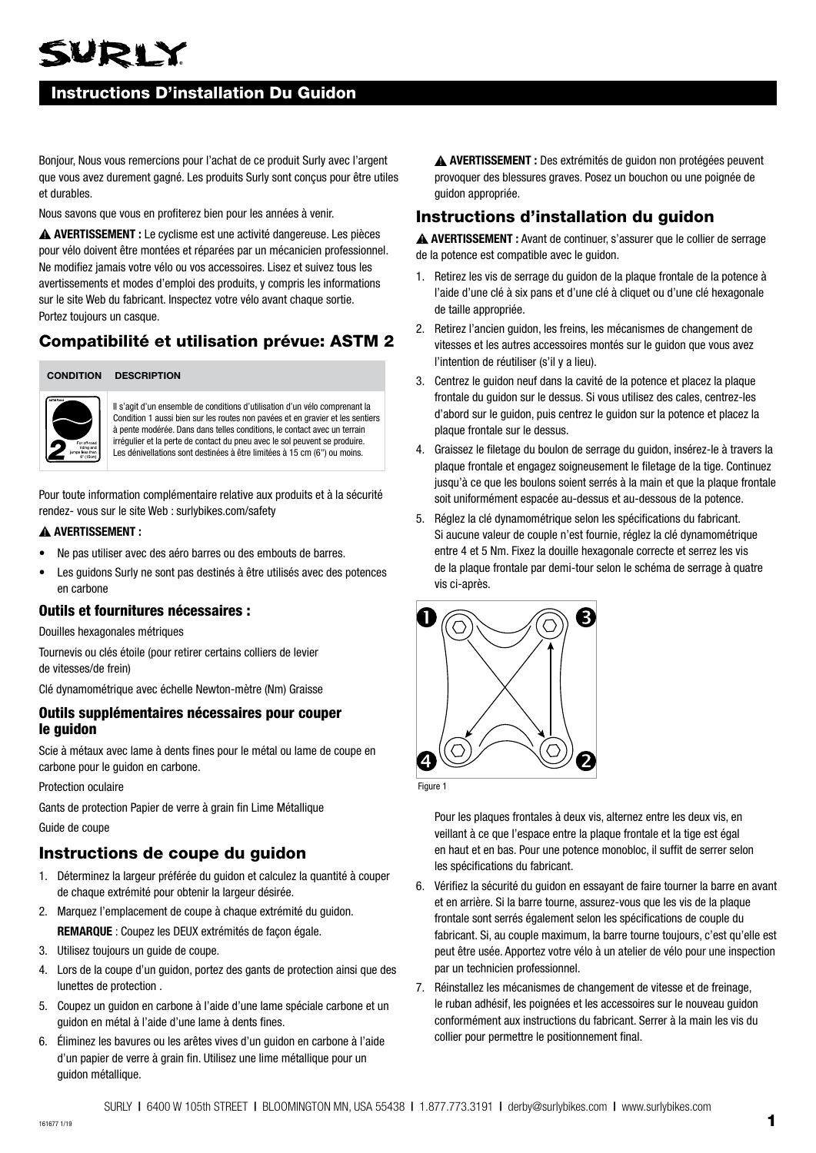## URIY

## Instructions D'installation Du Guidon

Bonjour, Nous vous remercions pour l'achat de ce produit Surly avec l'argent que vous avez durement gagné. Les produits Surly sont conçus pour être utiles et durables.

Nous savons que vous en profiterez bien pour les années à venir.

 **AVERTISSEMENT :** Le cyclisme est une activité dangereuse. Les pièces pour vélo doivent être montées et réparées par un mécanicien professionnel. Ne modifiez jamais votre vélo ou vos accessoires. Lisez et suivez tous les avertissements et modes d'emploi des produits, y compris les informations sur le site Web du fabricant. Inspectez votre vélo avant chaque sortie. Portez toujours un casque.

## Compatibilité et utilisation prévue: ASTM 2

#### **CONDITION DESCRIPTION**



Il s'agit d'un ensemble de conditions d'utilisation d'un vélo comprenant la Condition 1 aussi bien sur les routes non pavées et en gravier et les sentiers à pente modérée. Dans dans telles conditions, le contact avec un terrain irrégulier et la perte de contact du pneu avec le sol peuvent se produire. Les dénivellations sont destinées à être limitées à 15 cm (6") ou moins.

Pour toute information complémentaire relative aux produits et à la sécurité rendez- vous sur le site Web : surlybikes.com/safety

#### **AVERTISSEMENT :**

- Ne pas utiliser avec des aéro barres ou des embouts de barres.
- Les quidons Surly ne sont pas destinés à être utilisés avec des potences en carbone

#### Outils et fournitures nécessaires :

Douilles hexagonales métriques

Tournevis ou clés étoile (pour retirer certains colliers de levier de vitesses/de frein)

Clé dynamométrique avec échelle Newton-mètre (Nm) Graisse

#### Outils supplémentaires nécessaires pour couper le guidon

Scie à métaux avec lame à dents fines pour le métal ou lame de coupe en carbone pour le guidon en carbone.

Protection oculaire

Gants de protection Papier de verre à grain fin Lime Métallique

Guide de coupe

## Instructions de coupe du guidon

- 1. Déterminez la largeur préférée du guidon et calculez la quantité à couper de chaque extrémité pour obtenir la largeur désirée.
- 2. Marquez l'emplacement de coupe à chaque extrémité du guidon. **REMARQUE** : Coupez les DEUX extrémités de façon égale.
- 3. Utilisez toujours un guide de coupe.
- 4. Lors de la coupe d'un guidon, portez des gants de protection ainsi que des lunettes de protection .
- 5. Coupez un guidon en carbone à l'aide d'une lame spéciale carbone et un guidon en métal à l'aide d'une lame à dents fines.
- 6. Éliminez les bavures ou les arêtes vives d'un guidon en carbone à l'aide d'un papier de verre à grain fin. Utilisez une lime métallique pour un guidon métallique.

 **AVERTISSEMENT :** Des extrémités de guidon non protégées peuvent provoquer des blessures graves. Posez un bouchon ou une poignée de guidon appropriée.

## Instructions d'installation du guidon

 **AVERTISSEMENT :** Avant de continuer, s'assurer que le collier de serrage de la potence est compatible avec le guidon.

- 1. Retirez les vis de serrage du guidon de la plaque frontale de la potence à l'aide d'une clé à six pans et d'une clé à cliquet ou d'une clé hexagonale de taille appropriée.
- 2. Retirez l'ancien guidon, les freins, les mécanismes de changement de vitesses et les autres accessoires montés sur le guidon que vous avez l'intention de réutiliser (s'il y a lieu).
- 3. Centrez le guidon neuf dans la cavité de la potence et placez la plaque frontale du guidon sur le dessus. Si vous utilisez des cales, centrez-les d'abord sur le guidon, puis centrez le guidon sur la potence et placez la plaque frontale sur le dessus.
- 4. Graissez le filetage du boulon de serrage du guidon, insérez-le à travers la plaque frontale et engagez soigneusement le filetage de la tige. Continuez jusqu'à ce que les boulons soient serrés à la main et que la plaque frontale soit uniformément espacée au-dessus et au-dessous de la potence.
- 5. Réglez la clé dynamométrique selon les spécifications du fabricant. Si aucune valeur de couple n'est fournie, réglez la clé dynamométrique entre 4 et 5 Nm. Fixez la douille hexagonale correcte et serrez les vis de la plaque frontale par demi-tour selon le schéma de serrage à quatre vis ci-après.



Figure 1

Pour les plaques frontales à deux vis, alternez entre les deux vis, en veillant à ce que l'espace entre la plaque frontale et la tige est égal en haut et en bas. Pour une potence monobloc, il suffit de serrer selon les spécifications du fabricant.

- 6. Vérifiez la sécurité du guidon en essayant de faire tourner la barre en avant et en arrière. Si la barre tourne, assurez-vous que les vis de la plaque frontale sont serrés également selon les spécifications de couple du fabricant. Si, au couple maximum, la barre tourne toujours, c'est qu'elle est peut être usée. Apportez votre vélo à un atelier de vélo pour une inspection par un technicien professionnel.
- 7. Réinstallez les mécanismes de changement de vitesse et de freinage, le ruban adhésif, les poignées et les accessoires sur le nouveau guidon conformément aux instructions du fabricant. Serrer à la main les vis du collier pour permettre le positionnement final.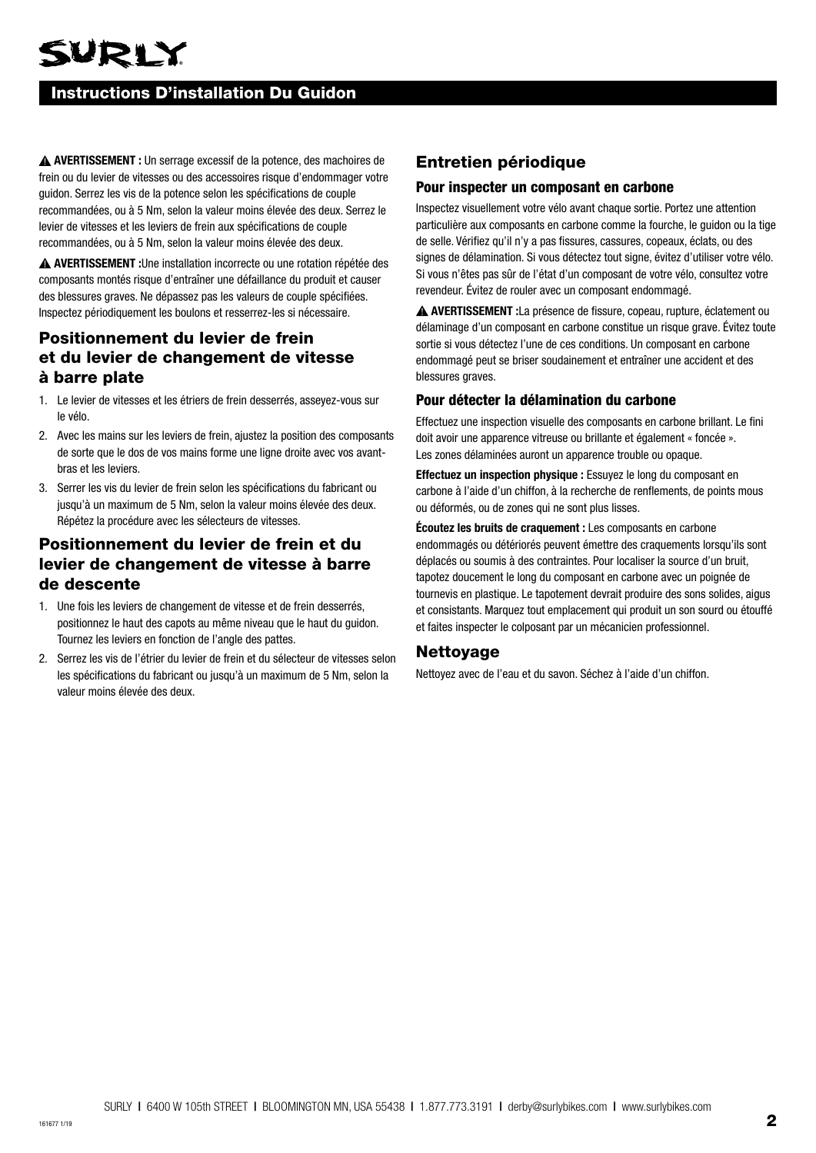# SURLY

## Instructions D'installation Du Guidon

 **AVERTISSEMENT :** Un serrage excessif de la potence, des machoires de frein ou du levier de vitesses ou des accessoires risque d'endommager votre guidon. Serrez les vis de la potence selon les spécifications de couple recommandées, ou à 5 Nm, selon la valeur moins élevée des deux. Serrez le levier de vitesses et les leviers de frein aux spécifications de couple recommandées, ou à 5 Nm, selon la valeur moins élevée des deux.

 **AVERTISSEMENT :**Une installation incorrecte ou une rotation répétée des composants montés risque d'entraîner une défaillance du produit et causer des blessures graves. Ne dépassez pas les valeurs de couple spécifiées. Inspectez périodiquement les boulons et resserrez-les si nécessaire.

## Positionnement du levier de frein et du levier de changement de vitesse à barre plate

- 1. Le levier de vitesses et les étriers de frein desserrés, asseyez-vous sur le vélo.
- 2. Avec les mains sur les leviers de frein, ajustez la position des composants de sorte que le dos de vos mains forme une ligne droite avec vos avantbras et les leviers.
- 3. Serrer les vis du levier de frein selon les spécifications du fabricant ou jusqu'à un maximum de 5 Nm, selon la valeur moins élevée des deux. Répétez la procédure avec les sélecteurs de vitesses.

## Positionnement du levier de frein et du levier de changement de vitesse à barre de descente

- 1. Une fois les leviers de changement de vitesse et de frein desserrés, positionnez le haut des capots au même niveau que le haut du guidon. Tournez les leviers en fonction de l'angle des pattes.
- 2. Serrez les vis de l'étrier du levier de frein et du sélecteur de vitesses selon les spécifications du fabricant ou jusqu'à un maximum de 5 Nm, selon la valeur moins élevée des deux.

## Entretien périodique

#### Pour inspecter un composant en carbone

Inspectez visuellement votre vélo avant chaque sortie. Portez une attention particulière aux composants en carbone comme la fourche, le guidon ou la tige de selle. Vérifiez qu'il n'y a pas fissures, cassures, copeaux, éclats, ou des signes de délamination. Si vous détectez tout signe, évitez d'utiliser votre vélo. Si vous n'êtes pas sûr de l'état d'un composant de votre vélo, consultez votre revendeur. Évitez de rouler avec un composant endommagé.

 **AVERTISSEMENT :**La présence de fissure, copeau, rupture, éclatement ou délaminage d'un composant en carbone constitue un risque grave. Évitez toute sortie si vous détectez l'une de ces conditions. Un composant en carbone endommagé peut se briser soudainement et entraîner une accident et des blessures graves.

#### Pour détecter la délamination du carbone

Effectuez une inspection visuelle des composants en carbone brillant. Le fini doit avoir une apparence vitreuse ou brillante et également « foncée ». Les zones délaminées auront un apparence trouble ou opaque.

**Effectuez un inspection physique :** Essuyez le long du composant en carbone à l'aide d'un chiffon, à la recherche de renflements, de points mous ou déformés, ou de zones qui ne sont plus lisses.

**Écoutez les bruits de craquement :** Les composants en carbone endommagés ou détériorés peuvent émettre des craquements lorsqu'ils sont déplacés ou soumis à des contraintes. Pour localiser la source d'un bruit, tapotez doucement le long du composant en carbone avec un poignée de tournevis en plastique. Le tapotement devrait produire des sons solides, aigus et consistants. Marquez tout emplacement qui produit un son sourd ou étouffé et faites inspecter le colposant par un mécanicien professionnel.

### Nettoyage

Nettoyez avec de l'eau et du savon. Séchez à l'aide d'un chiffon.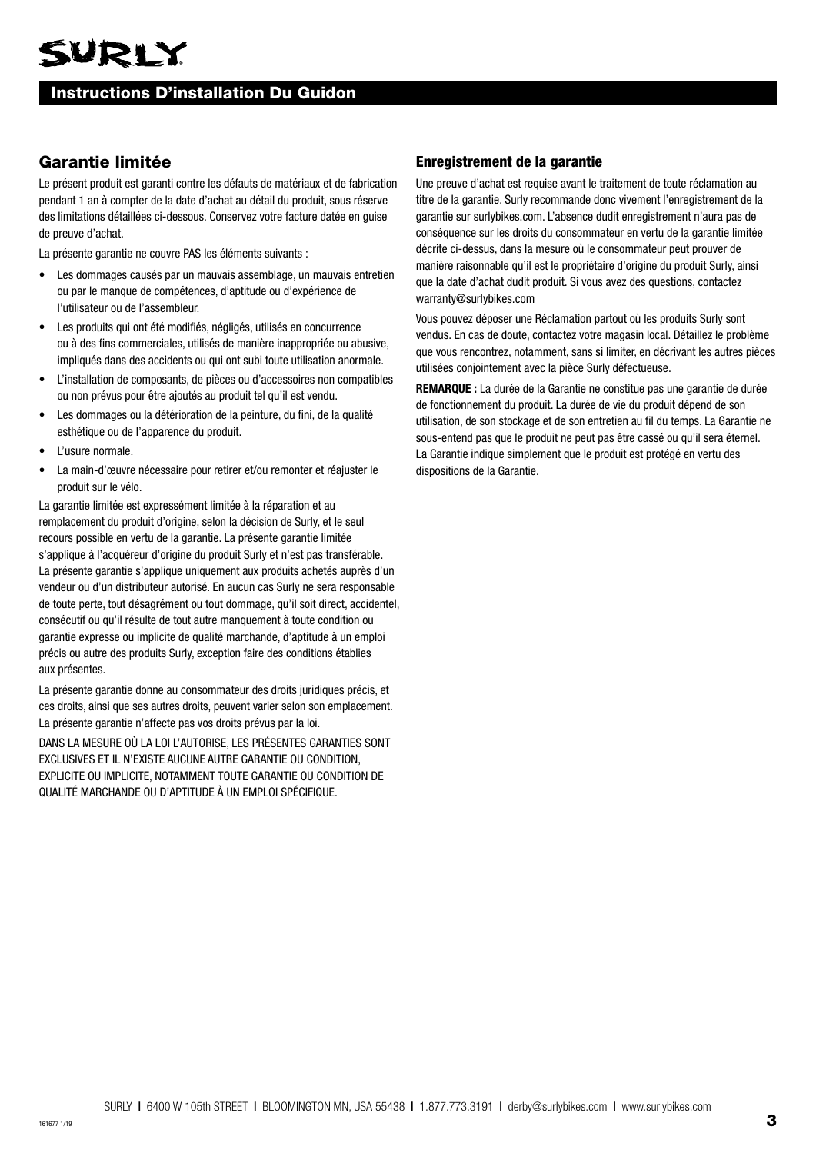## Instructions D'installation Du Guidon

## Garantie limitée

Le présent produit est garanti contre les défauts de matériaux et de fabrication pendant 1 an à compter de la date d'achat au détail du produit, sous réserve des limitations détaillées ci-dessous. Conservez votre facture datée en guise de preuve d'achat.

La présente garantie ne couvre PAS les éléments suivants :

- Les dommages causés par un mauvais assemblage, un mauvais entretien ou par le manque de compétences, d'aptitude ou d'expérience de l'utilisateur ou de l'assembleur.
- Les produits qui ont été modifiés, négligés, utilisés en concurrence ou à des fins commerciales, utilisés de manière inappropriée ou abusive, impliqués dans des accidents ou qui ont subi toute utilisation anormale.
- L'installation de composants, de pièces ou d'accessoires non compatibles ou non prévus pour être ajoutés au produit tel qu'il est vendu.
- Les dommages ou la détérioration de la peinture, du fini, de la qualité esthétique ou de l'apparence du produit.
- L'usure normale.
- La main-d'œuvre nécessaire pour retirer et/ou remonter et réajuster le produit sur le vélo.

La garantie limitée est expressément limitée à la réparation et au remplacement du produit d'origine, selon la décision de Surly, et le seul recours possible en vertu de la garantie. La présente garantie limitée s'applique à l'acquéreur d'origine du produit Surly et n'est pas transférable. La présente garantie s'applique uniquement aux produits achetés auprès d'un vendeur ou d'un distributeur autorisé. En aucun cas Surly ne sera responsable de toute perte, tout désagrément ou tout dommage, qu'il soit direct, accidentel, consécutif ou qu'il résulte de tout autre manquement à toute condition ou garantie expresse ou implicite de qualité marchande, d'aptitude à un emploi précis ou autre des produits Surly, exception faire des conditions établies aux présentes.

La présente garantie donne au consommateur des droits juridiques précis, et ces droits, ainsi que ses autres droits, peuvent varier selon son emplacement. La présente garantie n'affecte pas vos droits prévus par la loi.

DANS LA MESURE OÙ LA LOI L'AUTORISE, LES PRÉSENTES GARANTIES SONT EXCLUSIVES ET IL N'EXISTE AUCUNE AUTRE GARANTIE OU CONDITION, EXPLICITE OU IMPLICITE, NOTAMMENT TOUTE GARANTIE OU CONDITION DE QUALITÉ MARCHANDE OU D'APTITUDE À UN EMPLOI SPÉCIFIQUE.

#### Enregistrement de la garantie

Une preuve d'achat est requise avant le traitement de toute réclamation au titre de la garantie. Surly recommande donc vivement l'enregistrement de la garantie sur surlybikes.com. L'absence dudit enregistrement n'aura pas de conséquence sur les droits du consommateur en vertu de la garantie limitée décrite ci-dessus, dans la mesure où le consommateur peut prouver de manière raisonnable qu'il est le propriétaire d'origine du produit Surly, ainsi que la date d'achat dudit produit. Si vous avez des questions, contactez warranty@surlybikes.com

Vous pouvez déposer une Réclamation partout où les produits Surly sont vendus. En cas de doute, contactez votre magasin local. Détaillez le problème que vous rencontrez, notamment, sans si limiter, en décrivant les autres pièces utilisées conjointement avec la pièce Surly défectueuse.

**REMARQUE :** La durée de la Garantie ne constitue pas une garantie de durée de fonctionnement du produit. La durée de vie du produit dépend de son utilisation, de son stockage et de son entretien au fil du temps. La Garantie ne sous-entend pas que le produit ne peut pas être cassé ou qu'il sera éternel. La Garantie indique simplement que le produit est protégé en vertu des dispositions de la Garantie.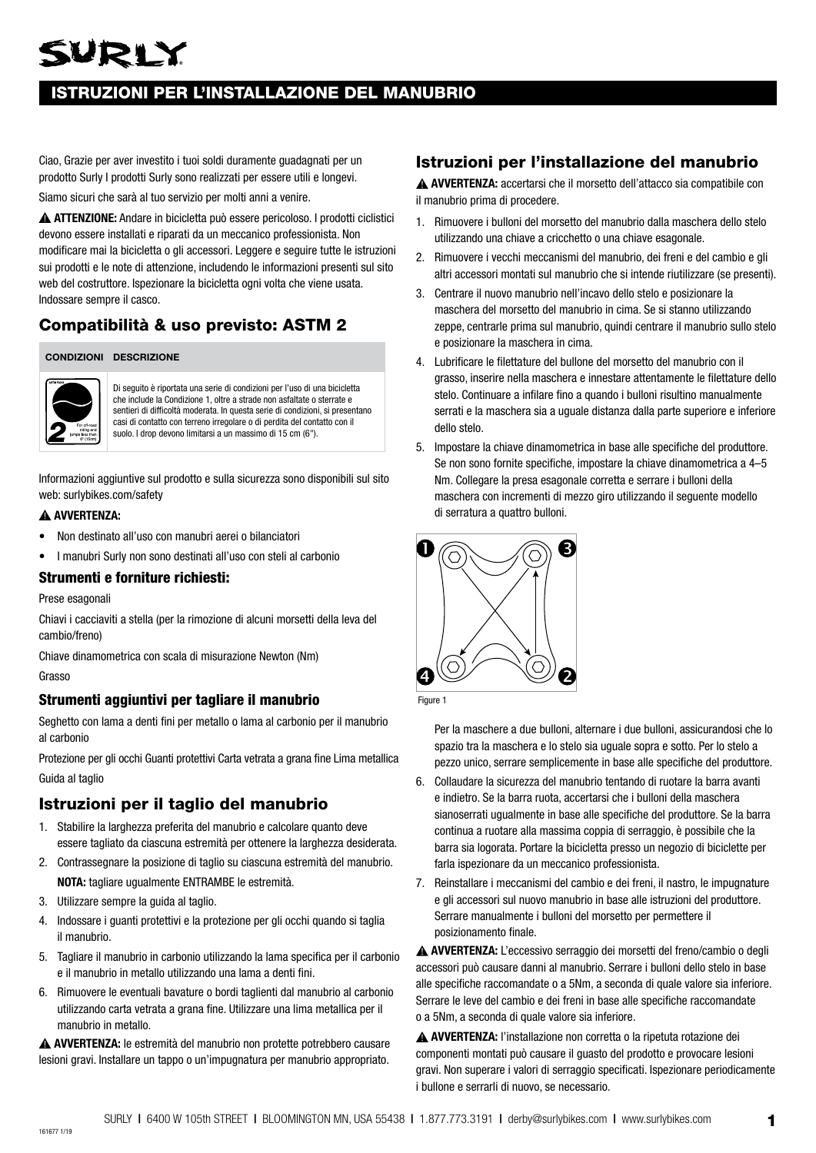## VRLY

## ISTRUZIONI PER L'INSTALLAZIONE DEL MANUBRIO

Ciao, Grazie per aver investito i tuoi soldi duramente guadagnati per un prodotto Surly I prodotti Surly sono realizzati per essere utili e longevi.

Siamo sicuri che sarà al tuo servizio per molti anni a venire.

 **ATTENZIONE:** Andare in bicicletta può essere pericoloso. I prodotti ciclistici devono essere installati e riparati da un meccanico professionista. Non modificare mai la bicicletta o gli accessori. Leggere e seguire tutte le istruzioni sui prodotti e le note di attenzione, includendo le informazioni presenti sul sito web del costruttore. Ispezionare la bicicletta ogni volta che viene usata. Indossare sempre il casco.

## Compatibilità & uso previsto: ASTM 2

#### **CONDIZIONI DESCRIZIONE**



Di seguito è riportata una serie di condizioni per l'uso di una bicicletta che include la Condizione 1, oltre a strade non asfaltate o sterrate e sentieri di difficoltà moderata. In questa serie di condizioni, si presentano casi di contatto con terreno irregolare o di perdita del contatto con il suolo. I drop devono limitarsi a un massimo di 15 cm (6").

Informazioni aggiuntive sul prodotto e sulla sicurezza sono disponibili sul sito web: surlybikes.com/safety

#### **AVVERTENZA:**

- Non destinato all'uso con manubri aerei o bilanciatori
- I manubri Surly non sono destinati all'uso con steli al carbonio

#### Strumenti e forniture richiesti:

Prese esagonali

Chiavi i cacciaviti a stella (per la rimozione di alcuni morsetti della leva del cambio/freno)

Chiave dinamometrica con scala di misurazione Newton (Nm) Grasso

#### Strumenti aggiuntivi per tagliare il manubrio

Seghetto con lama a denti fini per metallo o lama al carbonio per il manubrio al carbonio

Protezione per gli occhi Guanti protettivi Carta vetrata a grana fine Lima metallica Guida al taglio

## Istruzioni per il taglio del manubrio

- 1. Stabilire la larghezza preferita del manubrio e calcolare quanto deve essere tagliato da ciascuna estremità per ottenere la larghezza desiderata.
- 2. Contrassegnare la posizione di taglio su ciascuna estremità del manubrio. **NOTA:** tagliare ugualmente ENTRAMBE le estremità.
- 3. Utilizzare sempre la guida al taglio.
- 4. Indossare i guanti protettivi e la protezione per gli occhi quando si taglia il manubrio.
- 5. Tagliare il manubrio in carbonio utilizzando la lama specifica per il carbonio e il manubrio in metallo utilizzando una lama a denti fini.
- 6. Rimuovere le eventuali bavature o bordi taglienti dal manubrio al carbonio utilizzando carta vetrata a grana fine. Utilizzare una lima metallica per il manubrio in metallo.

**AVVERTENZA:** le estremità del manubrio non protette potrebbero causare lesioni gravi. Installare un tappo o un'impugnatura per manubrio appropriato.

## Istruzioni per l'installazione del manubrio

 **AVVERTENZA:** accertarsi che il morsetto dell'attacco sia compatibile con il manubrio prima di procedere.

- 1. Rimuovere i bulloni del morsetto del manubrio dalla maschera dello stelo utilizzando una chiave a cricchetto o una chiave esagonale.
- 2. Rimuovere i vecchi meccanismi del manubrio, dei freni e del cambio e gli altri accessori montati sul manubrio che si intende riutilizzare (se presenti).
- 3. Centrare il nuovo manubrio nell'incavo dello stelo e posizionare la maschera del morsetto del manubrio in cima. Se si stanno utilizzando zeppe, centrarle prima sul manubrio, quindi centrare il manubrio sullo stelo e posizionare la maschera in cima.
- 4. Lubrificare le filettature del bullone del morsetto del manubrio con il grasso, inserire nella maschera e innestare attentamente le filettature dello stelo. Continuare a infilare fino a quando i bulloni risultino manualmente serrati e la maschera sia a uguale distanza dalla parte superiore e inferiore dello stelo.
- 5. Impostare la chiave dinamometrica in base alle specifiche del produttore. Se non sono fornite specifiche, impostare la chiave dinamometrica a 4–5 Nm. Collegare la presa esagonale corretta e serrare i bulloni della maschera con incrementi di mezzo giro utilizzando il seguente modello di serratura a quattro bulloni.





Per la maschere a due bulloni, alternare i due bulloni, assicurandosi che lo spazio tra la maschera e lo stelo sia uguale sopra e sotto. Per lo stelo a pezzo unico, serrare semplicemente in base alle specifiche del produttore.

- 6. Collaudare la sicurezza del manubrio tentando di ruotare la barra avanti e indietro. Se la barra ruota, accertarsi che i bulloni della maschera sianoserrati ugualmente in base alle specifiche del produttore. Se la barra continua a ruotare alla massima coppia di serraggio, è possibile che la barra sia logorata. Portare la bicicletta presso un negozio di biciclette per farla ispezionare da un meccanico professionista.
- 7. Reinstallare i meccanismi del cambio e dei freni, il nastro, le impugnature e gli accessori sul nuovo manubrio in base alle istruzioni del produttore. Serrare manualmente i bulloni del morsetto per permettere il posizionamento finale.

**AVVERTENZA:** L'eccessivo serraggio dei morsetti del freno/cambio o degli accessori può causare danni al manubrio. Serrare i bulloni dello stelo in base alle specifiche raccomandate o a 5Nm, a seconda di quale valore sia inferiore. Serrare le leve del cambio e dei freni in base alle specifiche raccomandate o a 5Nm, a seconda di quale valore sia inferiore.

**AVVERTENZA:** l'installazione non corretta o la ripetuta rotazione dei componenti montati può causare il guasto del prodotto e provocare lesioni gravi. Non superare i valori di serraggio specificati. Ispezionare periodicamente i bullone e serrarli di nuovo, se necessario.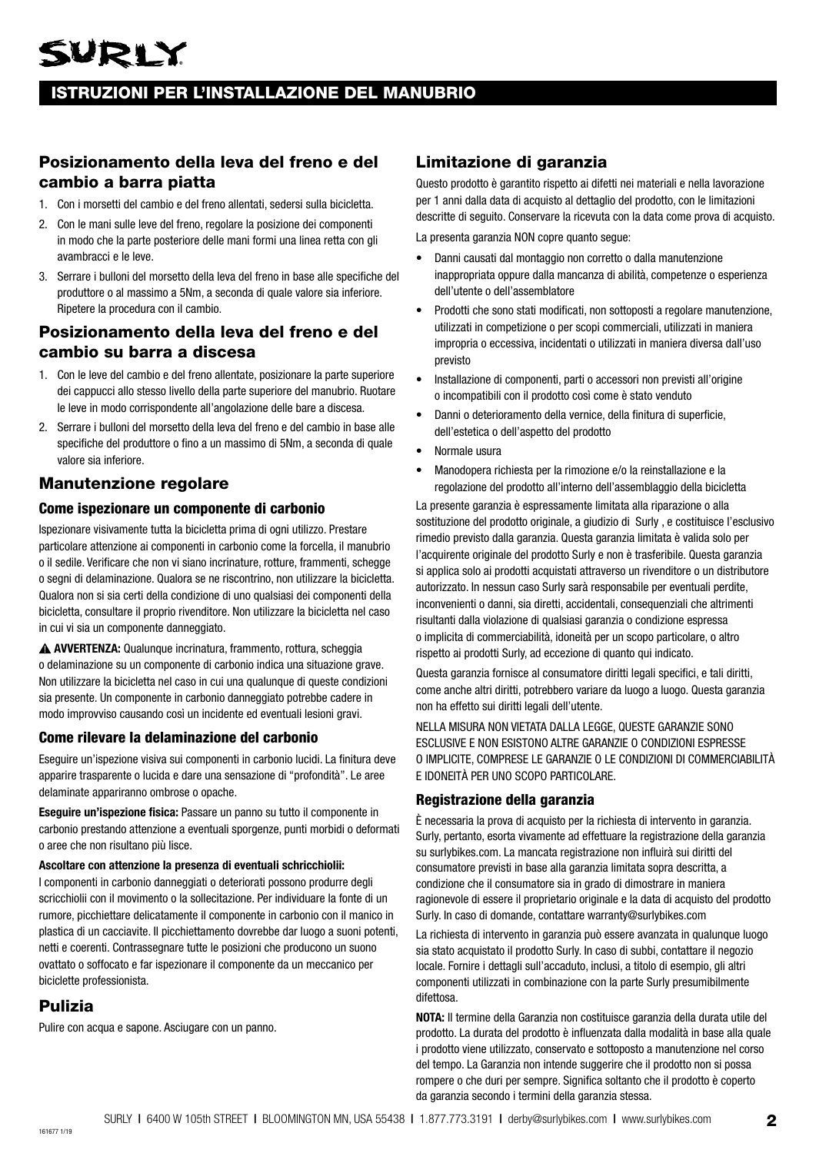## ISTRUZIONI PER L'INSTALLAZIONE DEL MANUBRIO

## Posizionamento della leva del freno e del cambio a barra piatta

- 1. Con i morsetti del cambio e del freno allentati, sedersi sulla bicicletta.
- 2. Con le mani sulle leve del freno, regolare la posizione dei componenti in modo che la parte posteriore delle mani formi una linea retta con gli avambracci e le leve.
- 3. Serrare i bulloni del morsetto della leva del freno in base alle specifiche del produttore o al massimo a 5Nm, a seconda di quale valore sia inferiore. Ripetere la procedura con il cambio.

## Posizionamento della leva del freno e del cambio su barra a discesa

- 1. Con le leve del cambio e del freno allentate, posizionare la parte superiore dei cappucci allo stesso livello della parte superiore del manubrio. Ruotare le leve in modo corrispondente all'angolazione delle bare a discesa.
- 2. Serrare i bulloni del morsetto della leva del freno e del cambio in base alle specifiche del produttore o fino a un massimo di 5Nm, a seconda di quale valore sia inferiore.

## Manutenzione regolare

#### Come ispezionare un componente di carbonio

Ispezionare visivamente tutta la bicicletta prima di ogni utilizzo. Prestare particolare attenzione ai componenti in carbonio come la forcella, il manubrio o il sedile. Verificare che non vi siano incrinature, rotture, frammenti, schegge o segni di delaminazione. Qualora se ne riscontrino, non utilizzare la bicicletta. Qualora non si sia certi della condizione di uno qualsiasi dei componenti della bicicletta, consultare il proprio rivenditore. Non utilizzare la bicicletta nel caso in cui vi sia un componente danneggiato.

 **AVVERTENZA:** Qualunque incrinatura, frammento, rottura, scheggia o delaminazione su un componente di carbonio indica una situazione grave. Non utilizzare la bicicletta nel caso in cui una qualunque di queste condizioni sia presente. Un componente in carbonio danneggiato potrebbe cadere in modo improvviso causando così un incidente ed eventuali lesioni gravi.

#### Come rilevare la delaminazione del carbonio

Eseguire un'ispezione visiva sui componenti in carbonio lucidi. La finitura deve apparire trasparente o lucida e dare una sensazione di "profondità". Le aree delaminate appariranno ombrose o opache.

**Eseguire un'ispezione fisica:** Passare un panno su tutto il componente in carbonio prestando attenzione a eventuali sporgenze, punti morbidi o deformati o aree che non risultano più lisce.

#### **Ascoltare con attenzione la presenza di eventuali schricchiolii:**

I componenti in carbonio danneggiati o deteriorati possono produrre degli scricchiolii con il movimento o la sollecitazione. Per individuare la fonte di un rumore, picchiettare delicatamente il componente in carbonio con il manico in plastica di un cacciavite. Il picchiettamento dovrebbe dar luogo a suoni potenti, netti e coerenti. Contrassegnare tutte le posizioni che producono un suono ovattato o soffocato e far ispezionare il componente da un meccanico per biciclette professionista.

## Pulizia

Pulire con acqua e sapone. Asciugare con un panno.

## Limitazione di garanzia

Questo prodotto è garantito rispetto ai difetti nei materiali e nella lavorazione per 1 anni dalla data di acquisto al dettaglio del prodotto, con le limitazioni descritte di seguito. Conservare la ricevuta con la data come prova di acquisto.

La presenta garanzia NON copre quanto segue:

- Danni causati dal montaggio non corretto o dalla manutenzione inappropriata oppure dalla mancanza di abilità, competenze o esperienza dell'utente o dell'assemblatore
- Prodotti che sono stati modificati, non sottoposti a regolare manutenzione, utilizzati in competizione o per scopi commerciali, utilizzati in maniera impropria o eccessiva, incidentati o utilizzati in maniera diversa dall'uso previsto
- Installazione di componenti, parti o accessori non previsti all'origine o incompatibili con il prodotto così come è stato venduto
- Danni o deterioramento della vernice, della finitura di superficie, dell'estetica o dell'aspetto del prodotto
- Normale usura
- Manodopera richiesta per la rimozione e/o la reinstallazione e la regolazione del prodotto all'interno dell'assemblaggio della bicicletta

La presente garanzia è espressamente limitata alla riparazione o alla sostituzione del prodotto originale, a giudizio di Surly, e costituisce l'esclusivo rimedio previsto dalla garanzia. Questa garanzia limitata è valida solo per l'acquirente originale del prodotto Surly e non è trasferibile. Questa garanzia si applica solo ai prodotti acquistati attraverso un rivenditore o un distributore autorizzato. In nessun caso Surly sarà responsabile per eventuali perdite, inconvenienti o danni, sia diretti, accidentali, consequenziali che altrimenti risultanti dalla violazione di qualsiasi garanzia o condizione espressa o implicita di commerciabilità, idoneità per un scopo particolare, o altro rispetto ai prodotti Surly, ad eccezione di quanto qui indicato.

Questa garanzia fornisce al consumatore diritti legali specifici, e tali diritti, come anche altri diritti, potrebbero variare da luogo a luogo. Questa garanzia non ha effetto sui diritti legali dell'utente.

NELLA MISURA NON VIETATA DALLA LEGGE, QUESTE GARANZIE SONO ESCLUSIVE E NON ESISTONO ALTRE GARANZIE O CONDIZIONI ESPRESSE O IMPLICITE, COMPRESE LE GARANZIE O LE CONDIZIONI DI COMMERCIABILITÀ E IDONEITÀ PER UNO SCOPO PARTICOLARE.

#### Registrazione della garanzia

È necessaria la prova di acquisto per la richiesta di intervento in garanzia. Surly, pertanto, esorta vivamente ad effettuare la registrazione della garanzia su surlybikes.com. La mancata registrazione non influirà sui diritti del consumatore previsti in base alla garanzia limitata sopra descritta, a condizione che il consumatore sia in grado di dimostrare in maniera ragionevole di essere il proprietario originale e la data di acquisto del prodotto Surly. In caso di domande, contattare warranty@surlybikes.com

La richiesta di intervento in garanzia può essere avanzata in qualunque luogo sia stato acquistato il prodotto Surly. In caso di subbi, contattare il negozio locale. Fornire i dettagli sull'accaduto, inclusi, a titolo di esempio, gli altri componenti utilizzati in combinazione con la parte Surly presumibilmente difettosa.

**NOTA:** Il termine della Garanzia non costituisce garanzia della durata utile del prodotto. La durata del prodotto è influenzata dalla modalità in base alla quale i prodotto viene utilizzato, conservato e sottoposto a manutenzione nel corso del tempo. La Garanzia non intende suggerire che il prodotto non si possa rompere o che duri per sempre. Significa soltanto che il prodotto è coperto da garanzia secondo i termini della garanzia stessa.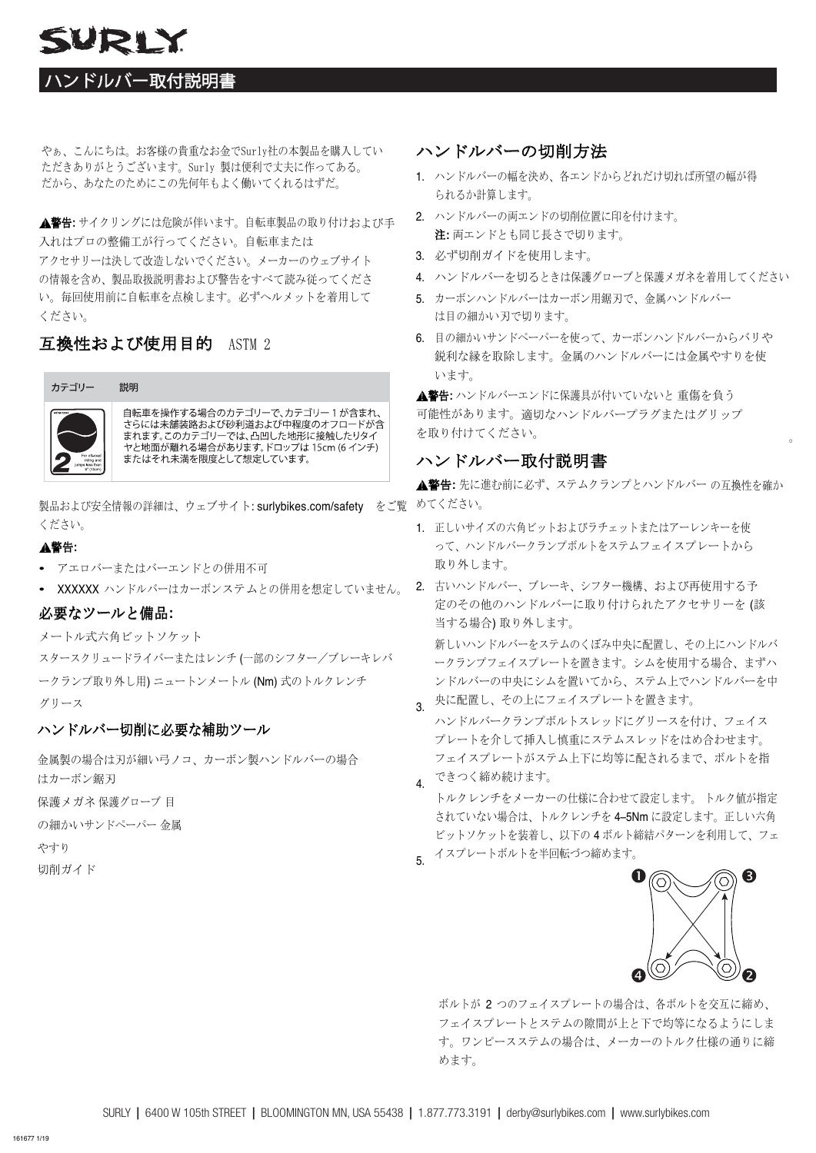## SURLY

## ハンドルバー取付説明書

やぁ、こんにちは。お客様の貴重なお金でSurly社の本製品を購入してい ただきありがとうございます。Surly 製は便利で丈夫に作ってある。 だから、あなたのためにこの先何年もよく働いてくれるはずだ。

**▲警告:** サイクリングには危険が伴います。自転車製品の取り付けおよび手 入れはプロの整備工が行ってください。自転車または アクセサリーは決して改造しないでください。メーカーのウェブサイト の情報を含め、製品取扱説明書および警告をすべて読み従ってくださ い。毎回使用前に自転車を点検します。必ずヘルメットを着用して ください。

## 互換性および使用目的 ASTM 2



自転車を操作する場合のカテゴリーで、カテゴリー1が含まれ、 さらには未舗装路および砂利道および中程度のオフロードが含 まれます。このカテゴリーでは、凸凹した地形に接触したりタイ またはそれ未満を限度として想定しています。

製品および安全情報の詳細は、ウェブサイト:surlybikes.com/safety をご覧 めてください。 ください。

#### 警告**:**

- アエロバーまたはバーエンドとの併用不可
- XXXXXX ハンドルバーはカーボンステムとの併用を想定していません。

### 必要なツールと備品**:**

メートル式六角ビットソケット

スタースクリュードライバーまたはレンチ (一部のシフター/ブレーキレバ ークランプ取り外し用) ニュートンメートル (Nm) 式のトルクレンチ グリース

### ハンドルバー切削に必要な補助ツール

金属製の場合は刃が細い弓ノコ、カーボン製ハンドルバーの場合 はカーボン鋸刃

保護メガネ 保護グローブ 目

の細かいサンドペーパー 金属

やすり

切削ガイド

## ハンドルバーの切削方法

- 1. ハンドルバーの幅を決め、各エンドからどれだけ切れば所望の幅が得 られるか計算します。
- 2. ハンドルバーの両エンドの切削位置に印を付けます。 注**:** 両エンドとも同じ長さで切ります。
- 3. 必ず切削ガイドを使用します。
- 4. ハンドルバーを切るときは保護グローブと保護メガネを着用してください
- 5. カーボンハンドルバーはカーボン用鋸刃で、金属ハンドルバー は目の細かい刃で切ります。
- 6. 目の細かいサンドペーパーを使って、カーボンハンドルバーからバリや 鋭利な縁を取除します。金属のハンドルバーには金属やすりを使 います。

▲警告: ハンドルバーエンドに保護具が付いていないと 重傷を負う 可能性があります。適切なハンドルバープラグまたはグリップ を取り付けてください。

## ハンドルバー取付説明書

▲警告:先に進む前に必ず、ステムクランプとハンドルバーの互換性を確か

- 1. 正しいサイズの六角ビットおよびラチェットまたはアーレンキーを使 って、ハンドルバークランプボルトをステムフェイスプレートから 取り外します。
- 2. 古いハンドルバー、ブレーキ、シフター機構、および再使用する予 定のその他のハンドルバーに取り付けられたアクセサリーを (該 当する場合) 取り外します。

新しいハンドルバーをステムのくぼみ中央に配置し、その上にハンドルバ ークランプフェイスプレートを置きます。シムを使用する場合、まずハ ンドルバーの中央にシムを置いてから、ステム上でハンドルバーを中 央に配置し、その上にフェイスプレートを置きます。

- 3. ハンドルバークランプボルトスレッドにグリースを付け、フェイス プレートを介して挿入し慎重にステムスレッドをはめ合わせます。 フェイスプレートがステム上下に均等に配されるまで、ボルトを指
- 4. できつく締め続けます。 トルクレンチをメーカーの仕様に合わせて設定します。 トルク値が指定 されていない場合は、トルクレンチを 4–5Nm に設定します。正しい六角 ビットソケットを装着し、以下の 4 ボルト締結パターンを利用して、フェ
- 5. イスプレートボルトを半回転づつ締めます。



。

ボルトが 2 つのフェイスプレートの場合は、各ボルトを交互に締め、 フェイスプレートとステムの隙間が上と下で均等になるようにしま す。ワンピースステムの場合は、メーカーのトルク仕様の通りに締 めます。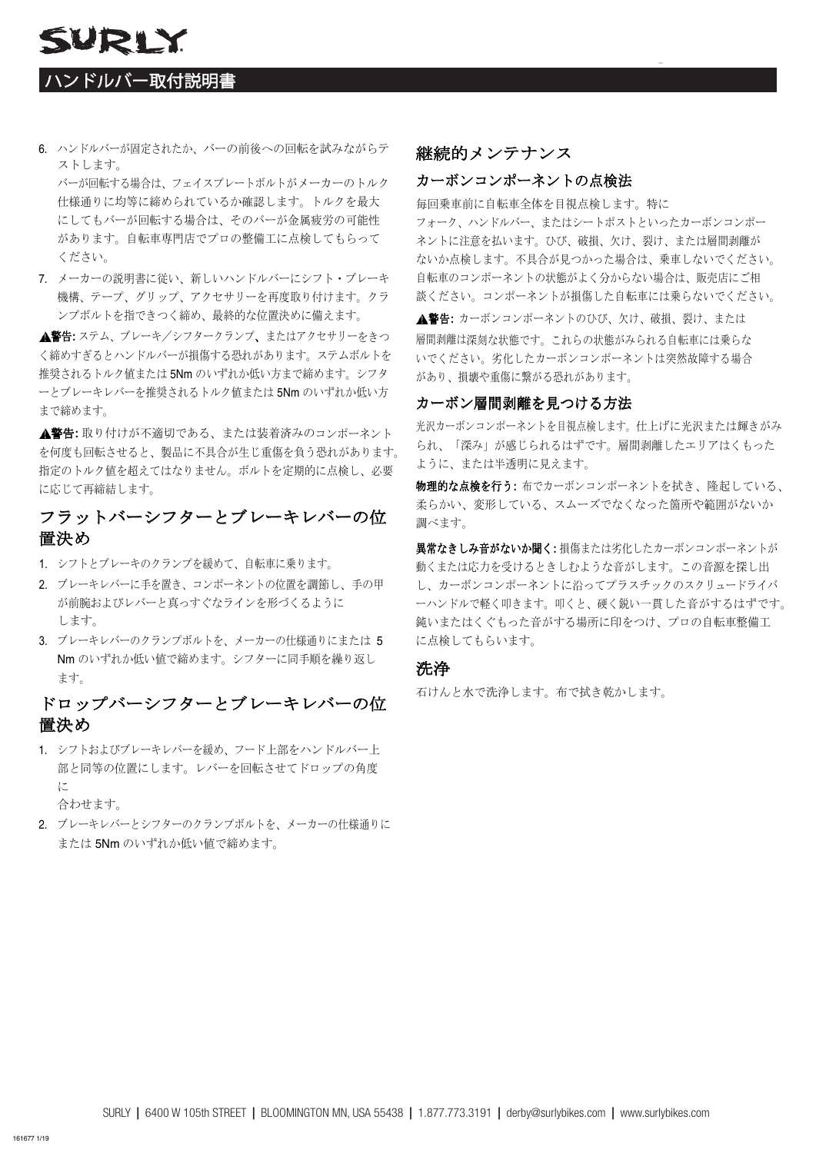## ハンドルバー取付説明書

SURLY

6. ハンドルバーが固定されたか、バーの前後への回転を試みながらテ ストします。

バーが回転する場合は、フェイスプレートボルトがメーカーのトルク 仕様通りに均等に締められているか確認します。トルクを最大 にしてもバーが回転する場合は、そのバーが金属疲労の可能性 があります。自転車専門店でプロの整備工に点検してもらって ください。

7. メーカーの説明書に従い、新しいハンドルバーにシフト・ブレーキ 機構、テープ、グリップ、アクセサリーを再度取り付けます。クラ ンプボルトを指できつく締め、最終的な位置決めに備えます。

▲警告: ステム、ブレーキ/シフタークランプ、またはアクセサリーをきつ く締めすぎるとハンドルバーが損傷する恐れがあります。ステムボルトを 推奨されるトルク値または 5Nm のいずれか低い方まで締めます。シフタ ーとブレーキレバーを推奨されるトルク値または 5Nm のいずれか低い方 まで締めます。

警告**:** 取り付けが不適切である、または装着済みのコンポーネント を何度も回転させると、製品に不具合が生じ重傷を負う恐れがあります。 指定のトルク値を超えてはなりません。ボルトを定期的に点検し、必要 に応じて再締結します。

## フラットバーシフターとブレーキレバーの位 置決め

- 1. シフトとブレーキのクランプを緩めて、自転車に乗ります。
- 2. ブレーキレバーに手を置き、コンポーネントの位置を調節し、手の甲 が前腕およびレバーと真っすぐなラインを形づくるように します。
- 3. ブレーキレバーのクランプボルトを、メーカーの仕様通りにまたは 5 Nm のいずれか低い値で締めます。シフターに同手順を繰り返し ます。

## ドロップバーシフターとブレーキレバーの位 置決め

1. シフトおよびブレーキレバーを緩め、フード上部をハンドルバー上 部と同等の位置にします。レバーを回転させてドロップの角度 に

合わせます。

2. ブレーキレバーとシフターのクランプボルトを、メーカーの仕様通りに または 5Nm のいずれか低い値で締めます。

#### 継続的メンテナンス

#### カーボンコンポーネントの点検法

毎回乗車前に自転車全体を目視点検します。特に フォーク、ハンドルバー、またはシートポストといったカーボンコンポー ネントに注意を払います。ひび、破損、欠け、裂け、または層間剥離が ないか点検します。不具合が見つかった場合は、乗車しないでください。 自転車のコンポーネントの状態がよく分からない場合は、販売店にご相 談ください。コンポーネントが損傷した自転車には乗らないでください。

層間剥離は深刻な状態です。これらの状態がみられる自転車には乗らな いでください。劣化したカーボンコンポーネントは突然故障する場合 があり、損壊や重傷に繋がる恐れがあります。 警告**:** カーボンコンポーネントのひび、欠け、破損、裂け、または

#### カーボン層間剥離を見つける方法

光沢カーボンコンポーネントを目視点検します。仕上げに光沢または輝きがみ られ、「深み」が感じられるはずです。層間剥離したエリアはくもった ように、または半透明に見えます。

物理的な点検を行う**:** 布でカーボンコンポーネントを拭き、隆起している、 柔らかい、変形している、スムーズでなくなった箇所や範囲がないか 調べます。

異常なきしみ音がないか聞く**:** 損傷または劣化したカーボンコンポーネントが 動くまたは応力を受けるときしむような音がします。この音源を探し出 し、カーボンコンポーネントに沿ってプラスチックのスクリュードライバ ーハンドルで軽く叩きます。叩くと、硬く鋭い一貫した音がするはずです。 鈍いまたはくぐもった音がする場所に印をつけ、プロの自転車整備工 に点検してもらいます。

#### 洗浄

石けんと水で洗浄します。布で拭き乾かします。